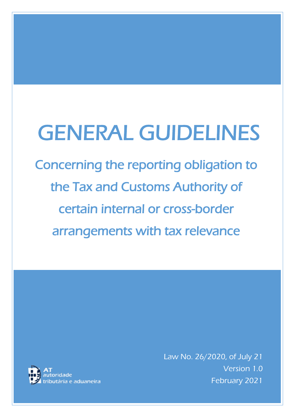# GENERAL GUIDELINES

Concerning the reporting obligation to the Tax and Customs Authority of certain internal or cross-border arrangements with tax relevance



Law No. 26/2020, of July 21 Version 1.0 February 2021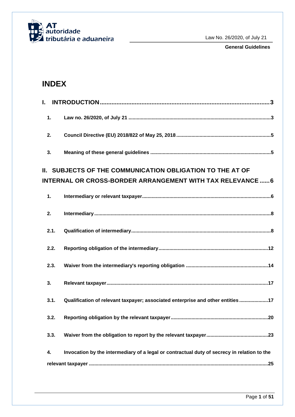

**General Guidelines**

# **INDEX**

| I.                                                         |                                                                                             |  |  |  |
|------------------------------------------------------------|---------------------------------------------------------------------------------------------|--|--|--|
| 1.                                                         |                                                                                             |  |  |  |
| 2.                                                         |                                                                                             |  |  |  |
| 3.                                                         |                                                                                             |  |  |  |
|                                                            | II. SUBJECTS OF THE COMMUNICATION OBLIGATION TO THE AT OF                                   |  |  |  |
| INTERNAL OR CROSS-BORDER ARRANGEMENT WITH TAX RELEVANCE  6 |                                                                                             |  |  |  |
| 1.                                                         |                                                                                             |  |  |  |
| 2.                                                         |                                                                                             |  |  |  |
| 2.1.                                                       |                                                                                             |  |  |  |
| 2.2.                                                       |                                                                                             |  |  |  |
| 2.3.                                                       |                                                                                             |  |  |  |
| 3.                                                         |                                                                                             |  |  |  |
| 3.1.                                                       | Qualification of relevant taxpayer; associated enterprise and other entities17              |  |  |  |
| 3.2.                                                       |                                                                                             |  |  |  |
| 3.3.                                                       |                                                                                             |  |  |  |
| 4.                                                         | Invocation by the intermediary of a legal or contractual duty of secrecy in relation to the |  |  |  |
|                                                            |                                                                                             |  |  |  |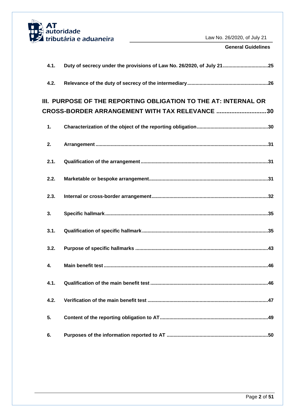

| 4.1.                                                            | Duty of secrecy under the provisions of Law No. 26/2020, of July 2125 |  |  |
|-----------------------------------------------------------------|-----------------------------------------------------------------------|--|--|
| 4.2.                                                            |                                                                       |  |  |
| III. PURPOSE OF THE REPORTING OBLIGATION TO THE AT: INTERNAL OR |                                                                       |  |  |
|                                                                 | <b>CROSS-BORDER ARRANGEMENT WITH TAX RELEVANCE 30</b>                 |  |  |
| 1.                                                              |                                                                       |  |  |
| 2.                                                              |                                                                       |  |  |
| 2.1.                                                            |                                                                       |  |  |
| 2.2.                                                            |                                                                       |  |  |
| 2.3.                                                            |                                                                       |  |  |
| 3.                                                              |                                                                       |  |  |
| 3.1.                                                            |                                                                       |  |  |
| 3.2.                                                            |                                                                       |  |  |
| 4.                                                              |                                                                       |  |  |
|                                                                 |                                                                       |  |  |
| 4.2.                                                            |                                                                       |  |  |
| 5.                                                              |                                                                       |  |  |
| 6.                                                              |                                                                       |  |  |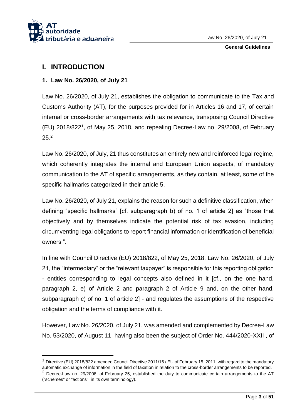

# <span id="page-3-0"></span>**I. INTRODUCTION**

1

## <span id="page-3-1"></span>**1. Law No. 26/2020, of July 21**

Law No. 26/2020, of July 21, establishes the obligation to communicate to the Tax and Customs Authority (AT), for the purposes provided for in Articles 16 and 17, of certain internal or cross-border arrangements with tax relevance, transposing Council Directive (EU) 2018/822<sup>1</sup> , of May 25, 2018, and repealing Decree-Law no. 29/2008, of February  $25.<sup>2</sup>$ 

Law No. 26/2020, of July, 21 thus constitutes an entirely new and reinforced legal regime, which coherently integrates the internal and European Union aspects, of mandatory communication to the AT of specific arrangements, as they contain, at least, some of the specific hallmarks categorized in their article 5.

Law No. 26/2020, of July 21, explains the reason for such a definitive classification, when defining "specific hallmarks" [cf. subparagraph b) of no. 1 of article 2] as "those that objectively and by themselves indicate the potential risk of tax evasion, including circumventing legal obligations to report financial information or identification of beneficial owners ".

In line with Council Directive (EU) 2018/822, of May 25, 2018, Law No. 26/2020, of July 21, the "intermediary" or the "relevant taxpayer" is responsible for this reporting obligation - entities corresponding to legal concepts also defined in it [cf., on the one hand, paragraph 2, e) of Article 2 and paragraph 2 of Article 9 and, on the other hand, subparagraph c) of no. 1 of article 2] - and regulates the assumptions of the respective obligation and the terms of compliance with it.

However, Law No. 26/2020, of July 21, was amended and complemented by Decree-Law No. 53/2020, of August 11, having also been the subject of Order No. 444/2020-XXII , of

 $1$  Directive (EU) 2018/822 amended Council Directive 2011/16 / EU of February 15, 2011, with regard to the mandatory automatic exchange of information in the field of taxation in relation to the cross-border arrangements to be reported.  $2$  Decree-Law no. 29/2008, of February 25, established the duty to communicate certain arrangements to the AT ("schemes" or "actions", in its own terminology).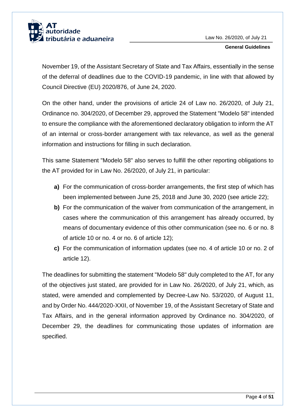

November 19, of the Assistant Secretary of State and Tax Affairs, essentially in the sense of the deferral of deadlines due to the COVID-19 pandemic, in line with that allowed by Council Directive (EU) 2020/876, of June 24, 2020.

On the other hand, under the provisions of article 24 of Law no. 26/2020, of July 21, Ordinance no. 304/2020, of December 29, approved the Statement "Modelo 58" intended to ensure the compliance with the aforementioned declaratory obligation to inform the AT of an internal or cross-border arrangement with tax relevance, as well as the general information and instructions for filling in such declaration.

This same Statement "Modelo 58" also serves to fulfill the other reporting obligations to the AT provided for in Law No. 26/2020, of July 21, in particular:

- **a)** For the communication of cross-border arrangements, the first step of which has been implemented between June 25, 2018 and June 30, 2020 (see article 22);
- **b)** For the communication of the waiver from communication of the arrangement, in cases where the communication of this arrangement has already occurred, by means of documentary evidence of this other communication (see no. 6 or no. 8 of article 10 or no. 4 or no. 6 of article 12);
- **c)** For the communication of information updates (see no. 4 of article 10 or no. 2 of article 12).

The deadlines for submitting the statement "Modelo 58" duly completed to the AT, for any of the objectives just stated, are provided for in Law No. 26/2020, of July 21, which, as stated, were amended and complemented by Decree-Law No. 53/2020, of August 11, and by Order No. 444/2020-XXII, of November 19, of the Assistant Secretary of State and Tax Affairs, and in the general information approved by Ordinance no. 304/2020, of December 29, the deadlines for communicating those updates of information are specified.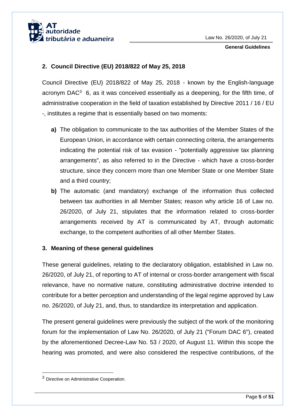

## <span id="page-5-0"></span>**2. Council Directive (EU) 2018/822 of May 25, 2018**

Council Directive (EU) 2018/822 of May 25, 2018 - known by the English-language acronym DAC $3$  6, as it was conceived essentially as a deepening, for the fifth time, of administrative cooperation in the field of taxation established by Directive 2011 / 16 / EU -, institutes a regime that is essentially based on two moments:

- **a)** The obligation to communicate to the tax authorities of the Member States of the European Union, in accordance with certain connecting criteria, the arrangements indicating the potential risk of tax evasion - "potentially aggressive tax planning arrangements", as also referred to in the Directive - which have a cross-border structure, since they concern more than one Member State or one Member State and a third country;
- **b)** The automatic (and mandatory) exchange of the information thus collected between tax authorities in all Member States; reason why article 16 of Law no. 26/2020, of July 21, stipulates that the information related to cross-border arrangements received by AT is communicated by AT, through automatic exchange, to the competent authorities of all other Member States.

## <span id="page-5-1"></span>**3. Meaning of these general guidelines**

These general guidelines, relating to the declaratory obligation, established in Law no. 26/2020, of July 21, of reporting to AT of internal or cross-border arrangement with fiscal relevance, have no normative nature, constituting administrative doctrine intended to contribute for a better perception and understanding of the legal regime approved by Law no. 26/2020, of July 21, and, thus, to standardize its interpretation and application.

The present general guidelines were previously the subject of the work of the monitoring forum for the implementation of Law No. 26/2020, of July 21 ("Forum DAC 6"), created by the aforementioned Decree-Law No. 53 / 2020, of August 11. Within this scope the hearing was promoted, and were also considered the respective contributions, of the

1

<sup>3</sup> Directive on Administrative Cooperation.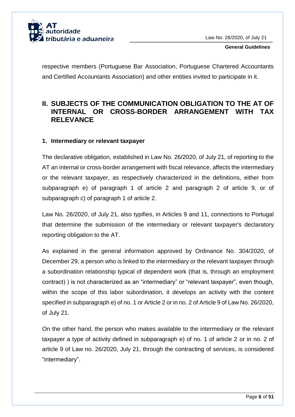

respective members (Portuguese Bar Association, Portuguese Chartered Accountants and Certified Accountants Association) and other entities invited to participate in it.

# <span id="page-6-0"></span>**II. SUBJECTS OF THE COMMUNICATION OBLIGATION TO THE AT OF INTERNAL OR CROSS-BORDER ARRANGEMENT WITH TAX RELEVANCE**

## <span id="page-6-1"></span>**1. Intermediary or relevant taxpayer**

The declarative obligation, established in Law No. 26/2020, of July 21, of reporting to the AT an internal or cross-border arrangement with fiscal relevance, affects the intermediary or the relevant taxpayer, as respectively characterized in the definitions, either from subparagraph e) of paragraph 1 of article 2 and paragraph 2 of article 9, or of subparagraph c) of paragraph 1 of article 2.

Law No. 26/2020, of July 21, also typifies, in Articles 9 and 11, connections to Portugal that determine the submission of the intermediary or relevant taxpayer's declaratory reporting obligation to the AT.

As explained in the general information approved by Ordinance No. 304/2020, of December 29, a person who is linked to the intermediary or the relevant taxpayer through a subordination relationship typical of dependent work (that is, through an employment contract) ) is not characterized as an "intermediary" or "relevant taxpayer", even though, within the scope of this labor subordination, it develops an activity with the content specified in subparagraph e) of no. 1 or Article 2 or in no. 2 of Article 9 of Law No. 26/2020, of July 21.

On the other hand, the person who makes available to the intermediary or the relevant taxpayer a type of activity defined in subparagraph e) of no. 1 of article 2 or in no. 2 of article 9 of Law no. 26/2020, July 21, through the contracting of services, is considered "intermediary".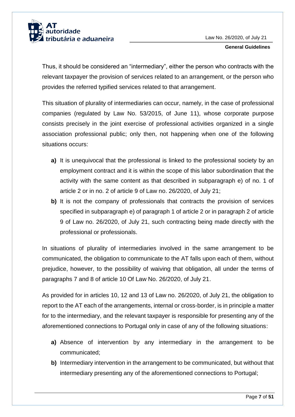

Thus, it should be considered an "intermediary", either the person who contracts with the relevant taxpayer the provision of services related to an arrangement, or the person who provides the referred typified services related to that arrangement.

This situation of plurality of intermediaries can occur, namely, in the case of professional companies (regulated by Law No. 53/2015, of June 11), whose corporate purpose consists precisely in the joint exercise of professional activities organized in a single association professional public; only then, not happening when one of the following situations occurs:

- **a)** It is unequivocal that the professional is linked to the professional society by an employment contract and it is within the scope of this labor subordination that the activity with the same content as that described in subparagraph e) of no. 1 of article 2 or in no. 2 of article 9 of Law no. 26/2020, of July 21;
- **b)** It is not the company of professionals that contracts the provision of services specified in subparagraph e) of paragraph 1 of article 2 or in paragraph 2 of article 9 of Law no. 26/2020, of July 21, such contracting being made directly with the professional or professionals.

In situations of plurality of intermediaries involved in the same arrangement to be communicated, the obligation to communicate to the AT falls upon each of them, without prejudice, however, to the possibility of waiving that obligation, all under the terms of paragraphs 7 and 8 of article 10 Of Law No. 26/2020, of July 21.

As provided for in articles 10, 12 and 13 of Law no. 26/2020, of July 21, the obligation to report to the AT each of the arrangements, internal or cross-border, is in principle a matter for to the intermediary, and the relevant taxpayer is responsible for presenting any of the aforementioned connections to Portugal only in case of any of the following situations:

- **a)** Absence of intervention by any intermediary in the arrangement to be communicated;
- **b)** Intermediary intervention in the arrangement to be communicated, but without that intermediary presenting any of the aforementioned connections to Portugal;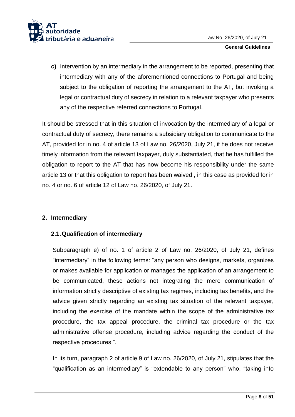

**c)** Intervention by an intermediary in the arrangement to be reported, presenting that intermediary with any of the aforementioned connections to Portugal and being subject to the obligation of reporting the arrangement to the AT, but invoking a legal or contractual duty of secrecy in relation to a relevant taxpayer who presents any of the respective referred connections to Portugal.

It should be stressed that in this situation of invocation by the intermediary of a legal or contractual duty of secrecy, there remains a subsidiary obligation to communicate to the AT, provided for in no. 4 of article 13 of Law no. 26/2020, July 21, if he does not receive timely information from the relevant taxpayer, duly substantiated, that he has fulfilled the obligation to report to the AT that has now become his responsibility under the same article 13 or that this obligation to report has been waived , in this case as provided for in no. 4 or no. 6 of article 12 of Law no. 26/2020, of July 21.

## <span id="page-8-0"></span>**2. Intermediary**

## <span id="page-8-1"></span>**2.1.Qualification of intermediary**

Subparagraph e) of no. 1 of article 2 of Law no. 26/2020, of July 21, defines "intermediary" in the following terms: "any person who designs, markets, organizes or makes available for application or manages the application of an arrangement to be communicated, these actions not integrating the mere communication of information strictly descriptive of existing tax regimes, including tax benefits, and the advice given strictly regarding an existing tax situation of the relevant taxpayer, including the exercise of the mandate within the scope of the administrative tax procedure, the tax appeal procedure, the criminal tax procedure or the tax administrative offense procedure, including advice regarding the conduct of the respective procedures ".

In its turn, paragraph 2 of article 9 of Law no. 26/2020, of July 21, stipulates that the "qualification as an intermediary" is "extendable to any person" who, "taking into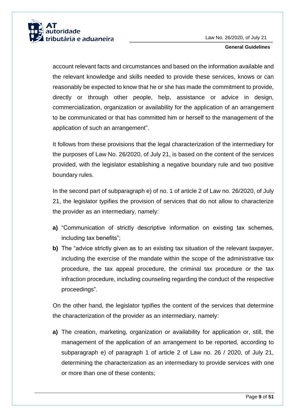

account relevant facts and circumstances and based on the information available and the relevant knowledge and skills needed to provide these services, knows or can reasonably be expected to know that he or she has made the commitment to provide, directly or through other people, help, assistance or advice in design, commercialization, organization or availability for the application of an arrangement to be communicated or that has committed him or herself to the management of the application of such an arrangement".

It follows from these provisions that the legal characterization of the intermediary for the purposes of Law No. 26/2020, of July 21, is based on the content of the services provided, with the legislator establishing a negative boundary rule and two positive boundary rules.

In the second part of subparagraph e) of no. 1 of article 2 of Law no. 26/2020, of July 21, the legislator typifies the provision of services that do not allow to characterize the provider as an intermediary, namely:

- **a)** "Communication of strictly descriptive information on existing tax schemes, including tax benefits";
- **b)** The "advice strictly given as to an existing tax situation of the relevant taxpayer, including the exercise of the mandate within the scope of the administrative tax procedure, the tax appeal procedure, the criminal tax procedure or the tax infraction procedure, including counseling regarding the conduct of the respective proceedings".

On the other hand, the legislator typifies the content of the services that determine the characterization of the provider as an intermediary, namely:

**a)** The creation, marketing, organization or availability for application or, still, the management of the application of an arrangement to be reported, according to subparagraph e) of paragraph 1 of article 2 of Law no. 26 / 2020, of July 21, determining the characterization as an intermediary to provide services with one or more than one of these contents;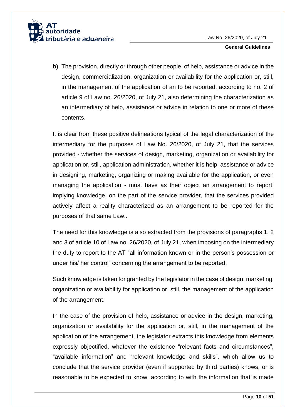

**b)** The provision, directly or through other people, of help, assistance or advice in the design, commercialization, organization or availability for the application or, still, in the management of the application of an to be reported, according to no. 2 of article 9 of Law no. 26/2020, of July 21, also determining the characterization as an intermediary of help, assistance or advice in relation to one or more of these contents.

It is clear from these positive delineations typical of the legal characterization of the intermediary for the purposes of Law No. 26/2020, of July 21, that the services provided - whether the services of design, marketing, organization or availability for application or, still, application administration, whether it is help, assistance or advice in designing, marketing, organizing or making available for the application, or even managing the application - must have as their object an arrangement to report, implying knowledge, on the part of the service provider, that the services provided actively affect a reality characterized as an arrangement to be reported for the purposes of that same Law..

The need for this knowledge is also extracted from the provisions of paragraphs 1, 2 and 3 of article 10 of Law no. 26/2020, of July 21, when imposing on the intermediary the duty to report to the AT "all information known or in the person's possession or under his/ her control" concerning the arrangement to be reported.

Such knowledge is taken for granted by the legislator in the case of design, marketing, organization or availability for application or, still, the management of the application of the arrangement.

In the case of the provision of help, assistance or advice in the design, marketing, organization or availability for the application or, still, in the management of the application of the arrangement, the legislator extracts this knowledge from elements expressly objectified, whatever the existence "relevant facts and circumstances", "available information" and "relevant knowledge and skills", which allow us to conclude that the service provider (even if supported by third parties) knows, or is reasonable to be expected to know, according to with the information that is made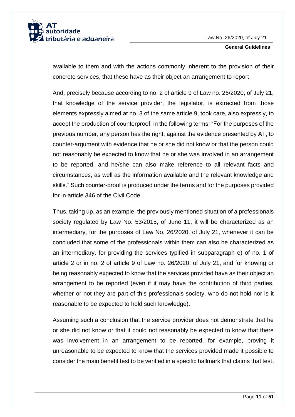

available to them and with the actions commonly inherent to the provision of their concrete services, that these have as their object an arrangement to report.

And, precisely because according to no. 2 of article 9 of Law no. 26/2020, of July 21, that knowledge of the service provider, the legislator, is extracted from those elements expressly aimed at no. 3 of the same article 9, took care, also expressly, to accept the production of counterproof, in the following terms: "For the purposes of the previous number, any person has the right, against the evidence presented by AT, to counter-argument with evidence that he or she did not know or that the person could not reasonably be expected to know that he or she was involved in an arrangement to be reported, and he/she can also make reference to all relevant facts and circumstances, as well as the information available and the relevant knowledge and skills." Such counter-proof is produced under the terms and for the purposes provided for in article 346 of the Civil Code.

Thus, taking up, as an example, the previously mentioned situation of a professionals society regulated by Law No. 53/2015, of June 11, it will be characterized as an intermediary, for the purposes of Law No. 26/2020, of July 21, whenever it can be concluded that some of the professionals within them can also be characterized as an intermediary, for providing the services typified in subparagraph e) of no. 1 of article 2 or in no. 2 of article 9 of Law no. 26/2020, of July 21, and for knowing or being reasonably expected to know that the services provided have as their object an arrangement to be reported (even if it may have the contribution of third parties, whether or not they are part of this professionals society, who do not hold nor is it reasonable to be expected to hold such knowledge).

Assuming such a conclusion that the service provider does not demonstrate that he or she did not know or that it could not reasonably be expected to know that there was involvement in an arrangement to be reported, for example, proving it unreasonable to be expected to know that the services provided made it possible to consider the main benefit test to be verified in a specific hallmark that claims that test.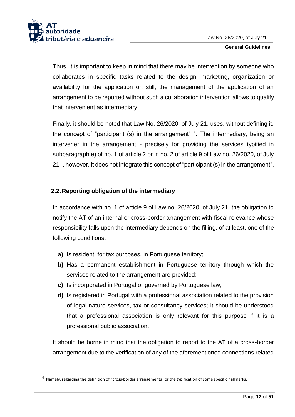

1

#### **General Guidelines**

Thus, it is important to keep in mind that there may be intervention by someone who collaborates in specific tasks related to the design, marketing, organization or availability for the application or, still, the management of the application of an arrangement to be reported without such a collaboration intervention allows to qualify that intervenient as intermediary.

Finally, it should be noted that Law No. 26/2020, of July 21, uses, without defining it, the concept of "participant (s) in the arrangement<sup>4</sup> ". The intermediary, being an intervener in the arrangement - precisely for providing the services typified in subparagraph e) of no. 1 of article 2 or in no. 2 of article 9 of Law no. 26/2020, of July 21 -, however, it does not integrate this concept of "participant (s) in the arrangement".

## <span id="page-12-0"></span>**2.2.Reporting obligation of the intermediary**

In accordance with no. 1 of article 9 of Law no. 26/2020, of July 21, the obligation to notify the AT of an internal or cross-border arrangement with fiscal relevance whose responsibility falls upon the intermediary depends on the filling, of at least, one of the following conditions:

- **a)** Is resident, for tax purposes, in Portuguese territory;
- **b)** Has a permanent establishment in Portuguese territory through which the services related to the arrangement are provided;
- **c)** Is incorporated in Portugal or governed by Portuguese law;
- **d)** Is registered in Portugal with a professional association related to the provision of legal nature services, tax or consultancy services; it should be understood that a professional association is only relevant for this purpose if it is a professional public association.

It should be borne in mind that the obligation to report to the AT of a cross-border arrangement due to the verification of any of the aforementioned connections related

<sup>&</sup>lt;sup>4</sup> Namely, regarding the definition of "cross-border arrangements" or the typification of some specific hallmarks.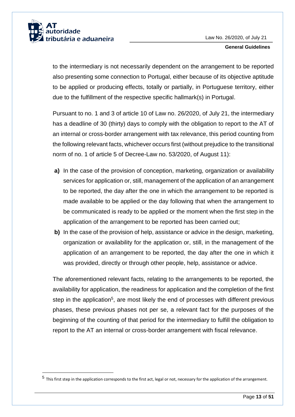

1

#### **General Guidelines**

to the intermediary is not necessarily dependent on the arrangement to be reported also presenting some connection to Portugal, either because of its objective aptitude to be applied or producing effects, totally or partially, in Portuguese territory, either due to the fulfillment of the respective specific hallmark(s) in Portugal.

Pursuant to no. 1 and 3 of article 10 of Law no. 26/2020, of July 21, the intermediary has a deadline of 30 (thirty) days to comply with the obligation to report to the AT of an internal or cross-border arrangement with tax relevance, this period counting from the following relevant facts, whichever occurs first (without prejudice to the transitional norm of no. 1 of article 5 of Decree-Law no. 53/2020, of August 11):

- **a)** In the case of the provision of conception, marketing, organization or availability services for application or, still, management of the application of an arrangement to be reported, the day after the one in which the arrangement to be reported is made available to be applied or the day following that when the arrangement to be communicated is ready to be applied or the moment when the first step in the application of the arrangement to be reported has been carried out;
- **b)** In the case of the provision of help, assistance or advice in the design, marketing, organization or availability for the application or, still, in the management of the application of an arrangement to be reported, the day after the one in which it was provided, directly or through other people, help, assistance or advice.

The aforementioned relevant facts, relating to the arrangements to be reported, the availability for application, the readiness for application and the completion of the first step in the application<sup>5</sup>, are most likely the end of processes with different previous phases, these previous phases not per se, a relevant fact for the purposes of the beginning of the counting of that period for the intermediary to fulfill the obligation to report to the AT an internal or cross-border arrangement with fiscal relevance.

<sup>&</sup>lt;sup>5</sup> This first step in the application corresponds to the first act, legal or not, necessary for the application of the arrangement.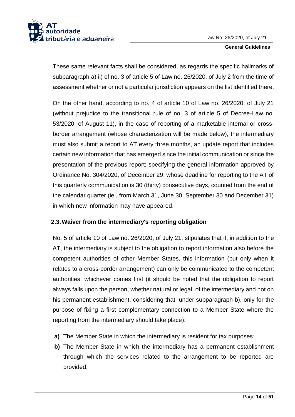

These same relevant facts shall be considered, as regards the specific hallmarks of subparagraph a) ii) of no. 3 of article 5 of Law no. 26/2020, of July 2 from the time of assessment whether or not a particular jurisdiction appears on the list identified there.

On the other hand, according to no. 4 of article 10 of Law no. 26/2020, of July 21 (without prejudice to the transitional rule of no. 3 of article 5 of Decree-Law no. 53/2020, of August 11), in the case of reporting of a marketable internal or crossborder arrangement (whose characterization will be made below), the intermediary must also submit a report to AT every three months, an update report that includes certain new information that has emerged since the initial communication or since the presentation of the previous report; specifying the general information approved by Ordinance No. 304/2020, of December 29, whose deadline for reporting to the AT of this quarterly communication is 30 (thirty) consecutive days, counted from the end of the calendar quarter (ie., from March 31, June 30, September 30 and December 31) in which new information may have appeared.

## <span id="page-14-0"></span>**2.3.Waiver from the intermediary's reporting obligation**

No. 5 of article 10 of Law no. 26/2020, of July 21, stipulates that if, in addition to the AT, the intermediary is subject to the obligation to report information also before the competent authorities of other Member States, this information (but only when it relates to a cross-border arrangement) can only be communicated to the competent authorities, whichever comes first (it should be noted that the obligation to report always falls upon the person, whether natural or legal, of the intermediary and not on his permanent establishment, considering that, under subparagraph b), only for the purpose of fixing a first complementary connection to a Member State where the reporting from the intermediary should take place):

- **a)** The Member State in which the intermediary is resident for tax purposes;
- **b)** The Member State in which the intermediary has a permanent establishment through which the services related to the arrangement to be reported are provided;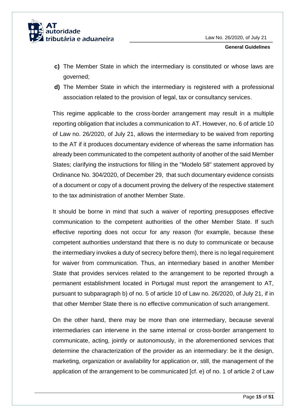

- **c)** The Member State in which the intermediary is constituted or whose laws are governed;
- **d)** The Member State in which the intermediary is registered with a professional association related to the provision of legal, tax or consultancy services.

This regime applicable to the cross-border arrangement may result in a multiple reporting obligation that includes a communication to AT. However, no. 6 of article 10 of Law no. 26/2020, of July 21, allows the intermediary to be waived from reporting to the AT if it produces documentary evidence of whereas the same information has already been communicated to the competent authority of another of the said Member States; clarifying the instructions for filling in the "Modelo 58" statement approved by Ordinance No. 304/2020, of December 29, that such documentary evidence consists of a document or copy of a document proving the delivery of the respective statement to the tax administration of another Member State.

It should be borne in mind that such a waiver of reporting presupposes effective communication to the competent authorities of the other Member State. If such effective reporting does not occur for any reason (for example, because these competent authorities understand that there is no duty to communicate or because the intermediary invokes a duty of secrecy before them), there is no legal requirement for waiver from communication. Thus, an intermediary based in another Member State that provides services related to the arrangement to be reported through a permanent establishment located in Portugal must report the arrangement to AT, pursuant to subparagraph b) of no. 5 of article 10 of Law no. 26/2020, of July 21, if in that other Member State there is no effective communication of such arrangement.

On the other hand, there may be more than one intermediary, because several intermediaries can intervene in the same internal or cross-border arrangement to communicate, acting, jointly or autonomously, in the aforementioned services that determine the characterization of the provider as an intermediary: be it the design, marketing, organization or availability for application or, still, the management of the application of the arrangement to be communicated [cf. e) of no. 1 of article 2 of Law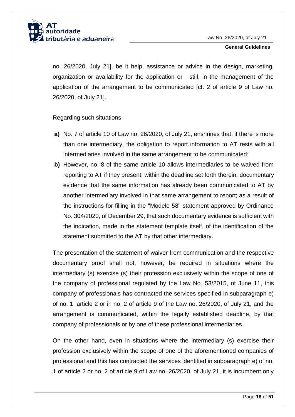

no. 26/2020, July 21], be it help, assistance or advice in the design, marketing, organization or availability for the application or , still, in the management of the application of the arrangement to be communicated [cf. 2 of article 9 of Law no. 26/2020, of July 21].

Regarding such situations:

- **a)** No. 7 of article 10 of Law no. 26/2020, of July 21, enshrines that, if there is more than one intermediary, the obligation to report information to AT rests with all intermediaries involved in the same arrangement to be communicated;
- **b)** However, no. 8 of the same article 10 allows intermediaries to be waived from reporting to AT if they present, within the deadline set forth therein, documentary evidence that the same information has already been communicated to AT by another intermediary involved in that same arrangement to report; as a result of the instructions for filling in the "Modelo 58" statement approved by Ordinance No. 304/2020, of December 29, that such documentary evidence is sufficient with the indication, made in the statement template itself, of the identification of the statement submitted to the AT by that other intermediary.

The presentation of the statement of waiver from communication and the respective documentary proof shall not, however, be required in situations where the intermediary (s) exercise (s) their profession exclusively within the scope of one of the company of professional regulated by the Law No. 53/2015, of June 11, this company of professionals has contracted the services specified in subparagraph e) of no. 1, article 2 or in no. 2 of article 9 of the Law no. 26/2020, of July 21, and the arrangement is communicated, within the legally established deadline, by that company of professionals or by one of these professional intermediaries.

On the other hand, even in situations where the intermediary (s) exercise their profession exclusively within the scope of one of the aforementioned companies of professional and this has contracted the services identified in subparagraph e) of no. 1 of article 2 or no. 2 of article 9 of Law no. 26/2020, of July 21, it is incumbent only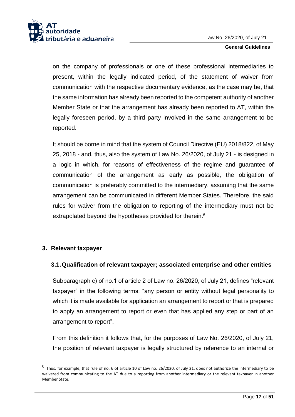

on the company of professionals or one of these professional intermediaries to present, within the legally indicated period, of the statement of waiver from communication with the respective documentary evidence, as the case may be, that the same information has already been reported to the competent authority of another Member State or that the arrangement has already been reported to AT, within the legally foreseen period, by a third party involved in the same arrangement to be reported.

It should be borne in mind that the system of Council Directive (EU) 2018/822, of May 25, 2018 - and, thus, also the system of Law No. 26/2020, of July 21 - is designed in a logic in which, for reasons of effectiveness of the regime and guarantee of communication of the arrangement as early as possible, the obligation of communication is preferably committed to the intermediary, assuming that the same arrangement can be communicated in different Member States. Therefore, the said rules for waiver from the obligation to reporting of the intermediary must not be extrapolated beyond the hypotheses provided for therein.<sup>6</sup>

## <span id="page-17-0"></span>**3. Relevant taxpayer**

1

### <span id="page-17-1"></span>**3.1.Qualification of relevant taxpayer; associated enterprise and other entities**

Subparagraph c) of no.1 of article 2 of Law no. 26/2020, of July 21, defines "relevant taxpayer" in the following terms: "any person or entity without legal personality to which it is made available for application an arrangement to report or that is prepared to apply an arrangement to report or even that has applied any step or part of an arrangement to report".

From this definition it follows that, for the purposes of Law No. 26/2020, of July 21, the position of relevant taxpayer is legally structured by reference to an internal or

<sup>6</sup> Thus, for example, that rule of no. 6 of article 10 of Law no. 26/2020, of July 21, does not authorize the intermediary to be waivered from communicating to the AT due to a reporting from another intermediary or the relevant taxpayer in another Member State.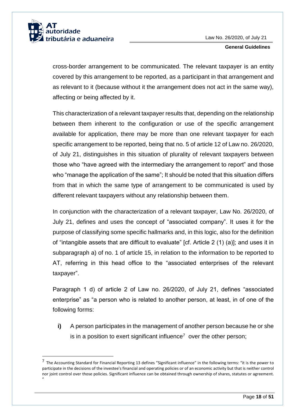

-

**General Guidelines**

cross-border arrangement to be communicated. The relevant taxpayer is an entity covered by this arrangement to be reported, as a participant in that arrangement and as relevant to it (because without it the arrangement does not act in the same way), affecting or being affected by it.

This characterization of a relevant taxpayer results that, depending on the relationship between them inherent to the configuration or use of the specific arrangement available for application, there may be more than one relevant taxpayer for each specific arrangement to be reported, being that no. 5 of article 12 of Law no. 26/2020, of July 21, distinguishes in this situation of plurality of relevant taxpayers between those who "have agreed with the intermediary the arrangement to report" and those who "manage the application of the same"; It should be noted that this situation differs from that in which the same type of arrangement to be communicated is used by different relevant taxpayers without any relationship between them.

In conjunction with the characterization of a relevant taxpayer, Law No. 26/2020, of July 21, defines and uses the concept of "associated company". It uses it for the purpose of classifying some specific hallmarks and, in this logic, also for the definition of "intangible assets that are difficult to evaluate" [cf. Article 2 (1) (a)]; and uses it in subparagraph a) of no. 1 of article 15, in relation to the information to be reported to AT, referring in this head office to the "associated enterprises of the relevant taxpayer".

Paragraph 1 d) of article 2 of Law no. 26/2020, of July 21, defines "associated enterprise" as "a person who is related to another person, at least, in of one of the following forms:

**i)** A person participates in the management of another person because he or she is in a position to exert significant influence<sup>7</sup> over the other person;

<sup>&</sup>lt;sup>7</sup> The Accounting Standard for Financial Reporting 13 defines "Significant influence" in the following terms: "it is the power to participate in the decisions of the investee's financial and operating policies or of an economic activity but that is neither control nor joint control over those policies. Significant influence can be obtained through ownership of shares, statutes or agreement. "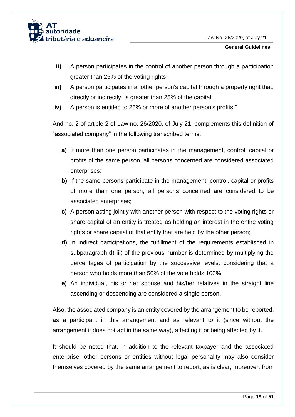

- **ii)** A person participates in the control of another person through a participation greater than 25% of the voting rights;
- **iii)** A person participates in another person's capital through a property right that, directly or indirectly, is greater than 25% of the capital;
- **iv)** A person is entitled to 25% or more of another person's profits."

And no. 2 of article 2 of Law no. 26/2020, of July 21, complements this definition of "associated company" in the following transcribed terms:

- **a)** If more than one person participates in the management, control, capital or profits of the same person, all persons concerned are considered associated enterprises;
- **b)** If the same persons participate in the management, control, capital or profits of more than one person, all persons concerned are considered to be associated enterprises;
- **c)** A person acting jointly with another person with respect to the voting rights or share capital of an entity is treated as holding an interest in the entire voting rights or share capital of that entity that are held by the other person;
- **d)** In indirect participations, the fulfillment of the requirements established in subparagraph d) iii) of the previous number is determined by multiplying the percentages of participation by the successive levels, considering that a person who holds more than 50% of the vote holds 100%;
- **e)** An individual, his or her spouse and his/her relatives in the straight line ascending or descending are considered a single person.

Also, the associated company is an entity covered by the arrangement to be reported, as a participant in this arrangement and as relevant to it (since without the arrangement it does not act in the same way), affecting it or being affected by it.

It should be noted that, in addition to the relevant taxpayer and the associated enterprise, other persons or entities without legal personality may also consider themselves covered by the same arrangement to report, as is clear, moreover, from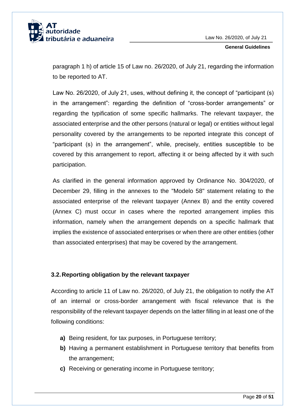

paragraph 1 h) of article 15 of Law no. 26/2020, of July 21, regarding the information to be reported to AT.

Law No. 26/2020, of July 21, uses, without defining it, the concept of "participant (s) in the arrangement": regarding the definition of "cross-border arrangements" or regarding the typification of some specific hallmarks. The relevant taxpayer, the associated enterprise and the other persons (natural or legal) or entities without legal personality covered by the arrangements to be reported integrate this concept of "participant (s) in the arrangement", while, precisely, entities susceptible to be covered by this arrangement to report, affecting it or being affected by it with such participation.

As clarified in the general information approved by Ordinance No. 304/2020, of December 29, filling in the annexes to the "Modelo 58" statement relating to the associated enterprise of the relevant taxpayer (Annex B) and the entity covered (Annex C) must occur in cases where the reported arrangement implies this information, namely when the arrangement depends on a specific hallmark that implies the existence of associated enterprises or when there are other entities (other than associated enterprises) that may be covered by the arrangement.

## <span id="page-20-0"></span>**3.2.Reporting obligation by the relevant taxpayer**

According to article 11 of Law no. 26/2020, of July 21, the obligation to notify the AT of an internal or cross-border arrangement with fiscal relevance that is the responsibility of the relevant taxpayer depends on the latter filling in at least one of the following conditions:

- **a)** Being resident, for tax purposes, in Portuguese territory;
- **b)** Having a permanent establishment in Portuguese territory that benefits from the arrangement;
- **c)** Receiving or generating income in Portuguese territory;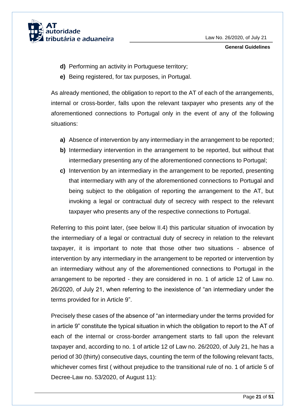

- **d)** Performing an activity in Portuguese territory;
- **e)** Being registered, for tax purposes, in Portugal.

As already mentioned, the obligation to report to the AT of each of the arrangements, internal or cross-border, falls upon the relevant taxpayer who presents any of the aforementioned connections to Portugal only in the event of any of the following situations:

- **a)** Absence of intervention by any intermediary in the arrangement to be reported;
- **b)** Intermediary intervention in the arrangement to be reported, but without that intermediary presenting any of the aforementioned connections to Portugal;
- **c)** Intervention by an intermediary in the arrangement to be reported, presenting that intermediary with any of the aforementioned connections to Portugal and being subject to the obligation of reporting the arrangement to the AT, but invoking a legal or contractual duty of secrecy with respect to the relevant taxpayer who presents any of the respective connections to Portugal.

Referring to this point later, (see below II.4) this particular situation of invocation by the intermediary of a legal or contractual duty of secrecy in relation to the relevant taxpayer, it is important to note that those other two situations - absence of intervention by any intermediary in the arrangement to be reported or intervention by an intermediary without any of the aforementioned connections to Portugal in the arrangement to be reported - they are considered in no. 1 of article 12 of Law no. 26/2020, of July 21, when referring to the inexistence of "an intermediary under the terms provided for in Article 9".

Precisely these cases of the absence of "an intermediary under the terms provided for in article 9" constitute the typical situation in which the obligation to report to the AT of each of the internal or cross-border arrangement starts to fall upon the relevant taxpayer and, according to no. 1 of article 12 of Law no. 26/2020, of July 21, he has a period of 30 (thirty) consecutive days, counting the term of the following relevant facts, whichever comes first ( without prejudice to the transitional rule of no. 1 of article 5 of Decree-Law no. 53/2020, of August 11):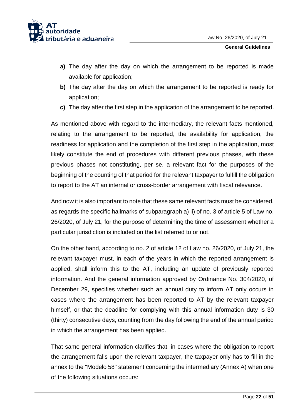

- **a)** The day after the day on which the arrangement to be reported is made available for application;
- **b)** The day after the day on which the arrangement to be reported is ready for application;
- **c)** The day after the first step in the application of the arrangement to be reported.

As mentioned above with regard to the intermediary, the relevant facts mentioned, relating to the arrangement to be reported, the availability for application, the readiness for application and the completion of the first step in the application, most likely constitute the end of procedures with different previous phases, with these previous phases not constituting, per se, a relevant fact for the purposes of the beginning of the counting of that period for the relevant taxpayer to fulfill the obligation to report to the AT an internal or cross-border arrangement with fiscal relevance.

And now it is also important to note that these same relevant facts must be considered, as regards the specific hallmarks of subparagraph a) ii) of no. 3 of article 5 of Law no. 26/2020, of July 21, for the purpose of determining the time of assessment whether a particular jurisdiction is included on the list referred to or not.

On the other hand, according to no. 2 of article 12 of Law no. 26/2020, of July 21, the relevant taxpayer must, in each of the years in which the reported arrangement is applied, shall inform this to the AT, including an update of previously reported information. And the general information approved by Ordinance No. 304/2020, of December 29, specifies whether such an annual duty to inform AT only occurs in cases where the arrangement has been reported to AT by the relevant taxpayer himself, or that the deadline for complying with this annual information duty is 30 (thirty) consecutive days, counting from the day following the end of the annual period in which the arrangement has been applied.

That same general information clarifies that, in cases where the obligation to report the arrangement falls upon the relevant taxpayer, the taxpayer only has to fill in the annex to the "Modelo 58" statement concerning the intermediary (Annex A) when one of the following situations occurs: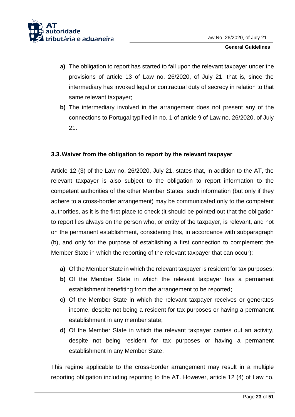

- **a)** The obligation to report has started to fall upon the relevant taxpayer under the provisions of article 13 of Law no. 26/2020, of July 21, that is, since the intermediary has invoked legal or contractual duty of secrecy in relation to that same relevant taxpayer;
- **b)** The intermediary involved in the arrangement does not present any of the connections to Portugal typified in no. 1 of article 9 of Law no. 26/2020, of July 21.

## <span id="page-23-0"></span>**3.3.Waiver from the obligation to report by the relevant taxpayer**

Article 12 (3) of the Law no. 26/2020, July 21, states that, in addition to the AT, the relevant taxpayer is also subject to the obligation to report information to the competent authorities of the other Member States, such information (but only if they adhere to a cross-border arrangement) may be communicated only to the competent authorities, as it is the first place to check (it should be pointed out that the obligation to report lies always on the person who, or entity of the taxpayer, is relevant, and not on the permanent establishment, considering this, in accordance with subparagraph (b), and only for the purpose of establishing a first connection to complement the Member State in which the reporting of the relevant taxpayer that can occur):

- **a)** Of the Member State in which the relevant taxpayer is resident for tax purposes;
- **b)** Of the Member State in which the relevant taxpayer has a permanent establishment benefiting from the arrangement to be reported;
- **c)** Of the Member State in which the relevant taxpayer receives or generates income, despite not being a resident for tax purposes or having a permanent establishment in any member state;
- **d)** Of the Member State in which the relevant taxpayer carries out an activity, despite not being resident for tax purposes or having a permanent establishment in any Member State.

This regime applicable to the cross-border arrangement may result in a multiple reporting obligation including reporting to the AT. However, article 12 (4) of Law no.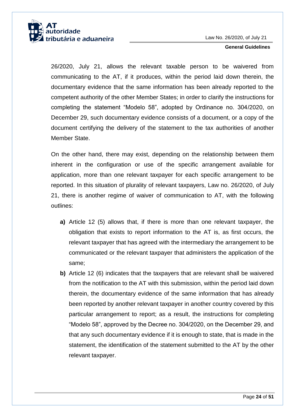

26/2020, July 21, allows the relevant taxable person to be waivered from communicating to the AT, if it produces, within the period laid down therein, the documentary evidence that the same information has been already reported to the competent authority of the other Member States; in order to clarify the instructions for completing the statement "Modelo 58", adopted by Ordinance no. 304/2020, on December 29, such documentary evidence consists of a document, or a copy of the document certifying the delivery of the statement to the tax authorities of another Member State.

On the other hand, there may exist, depending on the relationship between them inherent in the configuration or use of the specific arrangement available for application, more than one relevant taxpayer for each specific arrangement to be reported. In this situation of plurality of relevant taxpayers, Law no. 26/2020, of July 21, there is another regime of waiver of communication to AT, with the following outlines:

- **a)** Article 12 (5) allows that, if there is more than one relevant taxpayer, the obligation that exists to report information to the AT is, as first occurs, the relevant taxpayer that has agreed with the intermediary the arrangement to be communicated or the relevant taxpayer that administers the application of the same;
- **b)** Article 12 (6) indicates that the taxpayers that are relevant shall be waivered from the notification to the AT with this submission, within the period laid down therein, the documentary evidence of the same information that has already been reported by another relevant taxpayer in another country covered by this particular arrangement to report; as a result, the instructions for completing "Modelo 58", approved by the Decree no. 304/2020, on the December 29, and that any such documentary evidence if it is enough to state, that is made in the statement, the identification of the statement submitted to the AT by the other relevant taxpayer.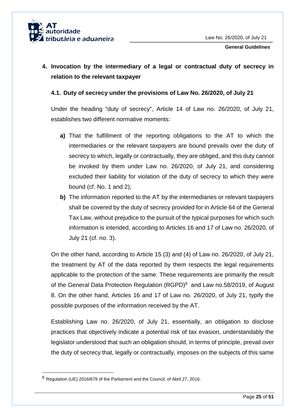

# <span id="page-25-0"></span>**4. Invocation by the intermediary of a legal or contractual duty of secrecy in relation to the relevant taxpayer**

## <span id="page-25-1"></span>**4.1. Duty of secrecy under the provisions of Law No. 26/2020, of July 21**

Under the heading "duty of secrecy", Article 14 of Law no. 26/2020, of July 21, establishes two different normative moments:

- **a)** That the fulfillment of the reporting obligations to the AT to which the intermediaries or the relevant taxpayers are bound prevails over the duty of secrecy to which, legally or contractually, they are obliged, and this duty cannot be invoked by them under Law no. 26/2020, of July 21, and considering excluded their liability for violation of the duty of secrecy to which they were bound (cf. No. 1 and 2);
- **b)** The information reported to the AT by the intermediaries or relevant taxpayers shall be covered by the duty of secrecy provided for in Article 64 of the General Tax Law, without prejudice to the pursuit of the typical purposes for which such information is intended, according to Articles 16 and 17 of Law no. 26/2020, of July 21 (cf. no. 3).

On the other hand, according to Article 15 (3) and (4) of Law no. 26/2020, of July 21, the treatment by AT of the data reported by them respects the legal requirements applicable to the protection of the same. These requirements are primarily the result of the General Data Protection Regulation (RGPD)<sup>8</sup> and Law no.58/2019, of August 8. On the other hand, Articles 16 and 17 of Law no. 26/2020, of July 21, typify the possible purposes of the information received by the AT.

Establishing Law no. 26/2020, of July 21, essentially, an obligation to disclose practices that objectively indicate a potential risk of tax evasion, understandably the legislator understood that such an obligation should, in terms of principle, prevail over the duty of secrecy that, legally or contractually, imposes on the subjects of this same

1

<sup>8</sup> Regulation (UE) 2016/679 of the Parliament and the Council, of Abril 27, 2016.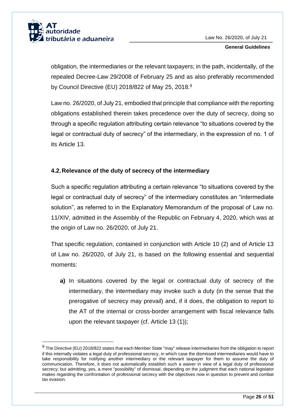

1

obligation, the intermediaries or the relevant taxpayers; in the path, incidentally, of the repealed Decree-Law 29/2008 of February 25 and as also preferably recommended by Council Directive (EU) 2018/822 of May 25, 2018.<sup>9</sup>

Law no. 26/2020, of July 21, embodied that principle that compliance with the reporting obligations established therein takes precedence over the duty of secrecy, doing so through a specific regulation attributing certain relevance "to situations covered by the legal or contractual duty of secrecy" of the intermediary, in the expression of no. 1 of its Article 13.

## <span id="page-26-0"></span>**4.2.Relevance of the duty of secrecy of the intermediary**

Such a specific regulation attributing a certain relevance "to situations covered by the legal or contractual duty of secrecy" of the intermediary constitutes an "intermediate solution", as referred to in the Explanatory Memorandum of the proposal of Law no. 11/XIV, admitted in the Assembly of the Republic on February 4, 2020, which was at the origin of Law no. 26/2020, of July 21.

That specific regulation, contained in conjunction with Article 10 (2) and of Article 13 of Law no. 26/2020, of July 21, is based on the following essential and sequential moments:

**a)** In situations covered by the legal or contractual duty of secrecy of the intermediary, the intermediary may invoke such a duty (in the sense that the prerogative of secrecy may prevail) and, if it does, the obligation to report to the AT of the internal or cross-border arrangement with fiscal relevance falls upon the relevant taxpayer (cf. Article 13 (1));

 $9$  The Directive (EU) 2018/822 states that each Member State "may" release intermediaries from the obligation to report if this internally violates a legal duty of professional secrecy, in which case the dismissed intermediaries would have to take responsibility for notifying another intermediary or the relevant taxpayer for them to assume the duty of communication. Therefore, it does not automatically establish such a waiver in view of a legal duty of professional secrecy; but admitting, yes, a mere "possibility" of dismissal, depending on the judgment that each national legislator makes regarding the confrontation of professional secrecy with the objectives now in question to prevent and combat tax evasion.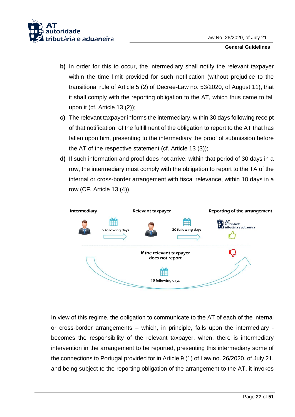

- **b)** In order for this to occur, the intermediary shall notify the relevant taxpayer within the time limit provided for such notification (without prejudice to the transitional rule of Article 5 (2) of Decree-Law no. 53/2020, of August 11), that it shall comply with the reporting obligation to the AT, which thus came to fall upon it (cf. Article 13 (2));
- **c)** The relevant taxpayer informs the intermediary, within 30 days following receipt of that notification, of the fulfillment of the obligation to report to the AT that has fallen upon him, presenting to the intermediary the proof of submission before the AT of the respective statement (cf. Article 13 (3));
- **d)** If such information and proof does not arrive, within that period of 30 days in a row, the intermediary must comply with the obligation to report to the TA of the internal or cross-border arrangement with fiscal relevance, within 10 days in a row (CF. Article 13 (4)).



In view of this regime, the obligation to communicate to the AT of each of the internal or cross-border arrangements – which, in principle, falls upon the intermediary becomes the responsibility of the relevant taxpayer, when, there is intermediary intervention in the arrangement to be reported, presenting this intermediary some of the connections to Portugal provided for in Article 9 (1) of Law no. 26/2020, of July 21, and being subject to the reporting obligation of the arrangement to the AT, it invokes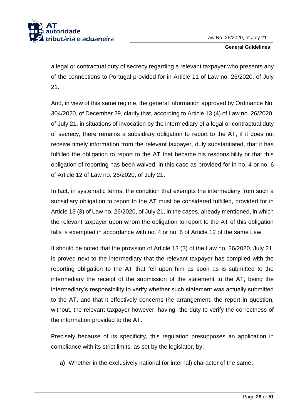

a legal or contractual duty of secrecy regarding a relevant taxpayer who presents any of the connections to Portugal provided for in Article 11 of Law no. 26/2020, of July 21.

And, in view of this same regime, the general information approved by Ordinance No. 304/2020, of December 29, clarify that, according to Article 13 (4) of Law no. 26/2020, of July 21, in situations of invocation by the intermediary of a legal or contractual duty of secrecy, there remains a subsidiary obligation to report to the AT, if it does not receive timely information from the relevant taxpayer, duly substantiated, that it has fulfilled the obligation to report to the AT that became his responsibility or that this obligation of reporting has been waived, in this case as provided for in no. 4 or no. 6 of Article 12 of Law no. 26/2020, of July 21.

In fact, in systematic terms, the condition that exempts the intermediary from such a subsidiary obligation to report to the AT must be considered fulfilled, provided for in Article 13 (3) of Law no. 26/2020, of July 21, in the cases, already mentioned, in which the relevant taxpayer upon whom the obligation to report to the AT of this obligation falls is exempted in accordance with no. 4 or no. 6 of Article 12 of the same Law.

It should be noted that the provision of Article 13 (3) of the Law no. 26/2020, July 21, is proved next to the intermediary that the relevant taxpayer has complied with the reporting obligation to the AT that fell upon him as soon as is submitted to the intermediary the receipt of the submission of the statement to the AT, being the intermediary's responsibility to verify whether such statement was actually submitted to the AT, and that it effectively concerns the arrangement, the report in question, without, the relevant taxpayer however, having the duty to verify the correctness of the information provided to the AT.

Precisely because of its specificity, this regulation presupposes an application in compliance with its strict limits, as set by the legislator, by:

**a)** Whether in the exclusively national (or internal) character of the same;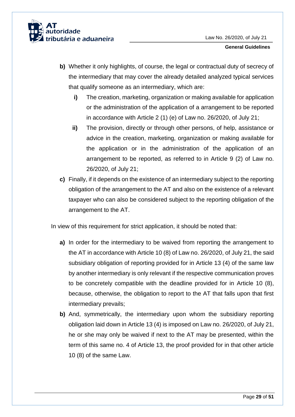

- **b)** Whether it only highlights, of course, the legal or contractual duty of secrecy of the intermediary that may cover the already detailed analyzed typical services that qualify someone as an intermediary, which are:
	- **i)** The creation, marketing, organization or making available for application or the administration of the application of a arrangement to be reported in accordance with Article 2 (1) (e) of Law no. 26/2020, of July 21;
	- **ii)** The provision, directly or through other persons, of help, assistance or advice in the creation, marketing, organization or making available for the application or in the administration of the application of an arrangement to be reported, as referred to in Article 9 (2) of Law no. 26/2020, of July 21;
- **c)** Finally, if it depends on the existence of an intermediary subject to the reporting obligation of the arrangement to the AT and also on the existence of a relevant taxpayer who can also be considered subject to the reporting obligation of the arrangement to the AT.

In view of this requirement for strict application, it should be noted that:

- **a)** In order for the intermediary to be waived from reporting the arrangement to the AT in accordance with Article 10 (8) of Law no. 26/2020, of July 21, the said subsidiary obligation of reporting provided for in Article 13 (4) of the same law by another intermediary is only relevant if the respective communication proves to be concretely compatible with the deadline provided for in Article 10 (8), because, otherwise, the obligation to report to the AT that falls upon that first intermediary prevails;
- **b)** And, symmetrically, the intermediary upon whom the subsidiary reporting obligation laid down in Article 13 (4) is imposed on Law no. 26/2020, of July 21, he or she may only be waived if next to the AT may be presented, within the term of this same no. 4 of Article 13, the proof provided for in that other article 10 (8) of the same Law.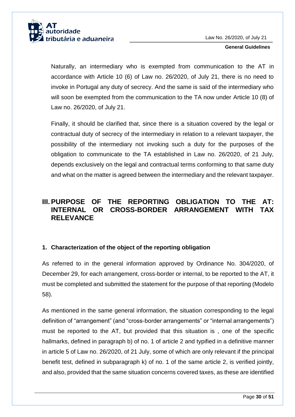

Naturally, an intermediary who is exempted from communication to the AT in accordance with Article 10 (6) of Law no. 26/2020, of July 21, there is no need to invoke in Portugal any duty of secrecy. And the same is said of the intermediary who will soon be exempted from the communication to the TA now under Article 10 (8) of Law no. 26/2020, of July 21.

Finally, it should be clarified that, since there is a situation covered by the legal or contractual duty of secrecy of the intermediary in relation to a relevant taxpayer, the possibility of the intermediary not invoking such a duty for the purposes of the obligation to communicate to the TA established in Law no. 26/2020, of 21 July, depends exclusively on the legal and contractual terms conforming to that same duty and what on the matter is agreed between the intermediary and the relevant taxpayer.

# <span id="page-30-0"></span>**III. PURPOSE OF THE REPORTING OBLIGATION TO THE AT: INTERNAL OR CROSS-BORDER ARRANGEMENT WITH TAX RELEVANCE**

## <span id="page-30-1"></span>**1. Characterization of the object of the reporting obligation**

As referred to in the general information approved by Ordinance No. 304/2020, of December 29, for each arrangement, cross-border or internal, to be reported to the AT, it must be completed and submitted the statement for the purpose of that reporting (Modelo 58).

As mentioned in the same general information, the situation corresponding to the legal definition of "arrangement" (and "cross-border arrangements" or "internal arrangements") must be reported to the AT, but provided that this situation is , one of the specific hallmarks, defined in paragraph b) of no. 1 of article 2 and typified in a definitive manner in article 5 of Law no. 26/2020, of 21 July, some of which are only relevant if the principal benefit test, defined in subparagraph k) of no. 1 of the same article 2, is verified jointly, and also, provided that the same situation concerns covered taxes, as these are identified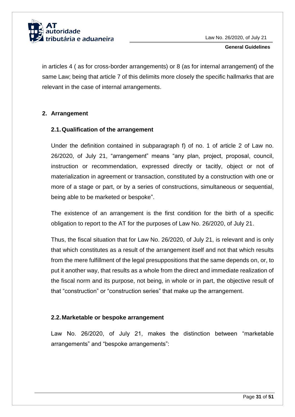

in articles 4 ( as for cross-border arrangements) or 8 (as for internal arrangement) of the same Law; being that article 7 of this delimits more closely the specific hallmarks that are relevant in the case of internal arrangements.

## <span id="page-31-0"></span>**2. Arrangement**

## <span id="page-31-1"></span>**2.1.Qualification of the arrangement**

Under the definition contained in subparagraph f) of no. 1 of article 2 of Law no. 26/2020, of July 21, "arrangement" means "any plan, project, proposal, council, instruction or recommendation, expressed directly or tacitly, object or not of materialization in agreement or transaction, constituted by a construction with one or more of a stage or part, or by a series of constructions, simultaneous or sequential, being able to be marketed or bespoke".

The existence of an arrangement is the first condition for the birth of a specific obligation to report to the AT for the purposes of Law No. 26/2020, of July 21.

Thus, the fiscal situation that for Law No. 26/2020, of July 21, is relevant and is only that which constitutes as a result of the arrangement itself and not that which results from the mere fulfillment of the legal presuppositions that the same depends on, or, to put it another way, that results as a whole from the direct and immediate realization of the fiscal norm and its purpose, not being, in whole or in part, the objective result of that "construction" or "construction series" that make up the arrangement.

## <span id="page-31-2"></span>**2.2.Marketable or bespoke arrangement**

Law No. 26/2020, of July 21, makes the distinction between "marketable arrangements" and "bespoke arrangements":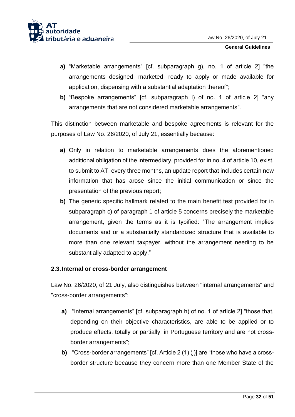- **a)** "Marketable arrangements" [cf. subparagraph g), no. 1 of article 2] "the arrangements designed, marketed, ready to apply or made available for application, dispensing with a substantial adaptation thereof";
- **b)** "Bespoke arrangements" [cf. subparagraph i) of no. 1 of article 2] "any arrangements that are not considered marketable arrangements".

This distinction between marketable and bespoke agreements is relevant for the purposes of Law No. 26/2020, of July 21, essentially because:

- **a)** Only in relation to marketable arrangements does the aforementioned additional obligation of the intermediary, provided for in no. 4 of article 10, exist, to submit to AT, every three months, an update report that includes certain new information that has arose since the initial communication or since the presentation of the previous report;
- **b)** The generic specific hallmark related to the main benefit test provided for in subparagraph c) of paragraph 1 of article 5 concerns precisely the marketable arrangement, given the terms as it is typified: "The arrangement implies documents and or a substantially standardized structure that is available to more than one relevant taxpayer, without the arrangement needing to be substantially adapted to apply."

## <span id="page-32-0"></span>**2.3.Internal or cross-border arrangement**

Law No. 26/2020, of 21 July, also distinguishes between "internal arrangements" and "cross-border arrangements":

- **a)** "Internal arrangements" [cf. subparagraph h) of no. 1 of article 2] "those that, depending on their objective characteristics, are able to be applied or to produce effects, totally or partially, in Portuguese territory and are not crossborder arrangements";
- **b)** "Cross-border arrangements" [cf. Article 2 (1) (j)] are "those who have a crossborder structure because they concern more than one Member State of the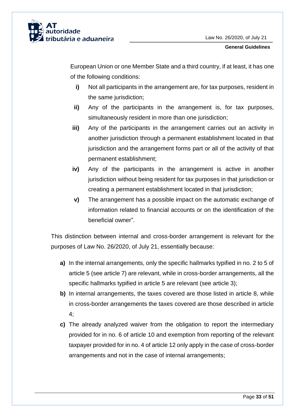

European Union or one Member State and a third country, if at least, it has one of the following conditions:

- **i)** Not all participants in the arrangement are, for tax purposes, resident in the same jurisdiction:
- **ii)** Any of the participants in the arrangement is, for tax purposes, simultaneously resident in more than one jurisdiction;
- **iii)** Any of the participants in the arrangement carries out an activity in another jurisdiction through a permanent establishment located in that jurisdiction and the arrangement forms part or all of the activity of that permanent establishment;
- **iv)** Any of the participants in the arrangement is active in another jurisdiction without being resident for tax purposes in that jurisdiction or creating a permanent establishment located in that jurisdiction;
- **v)** The arrangement has a possible impact on the automatic exchange of information related to financial accounts or on the identification of the beneficial owner".

This distinction between internal and cross-border arrangement is relevant for the purposes of Law No. 26/2020, of July 21, essentially because:

- **a)** In the internal arrangements, only the specific hallmarks typified in no. 2 to 5 of article 5 (see article 7) are relevant, while in cross-border arrangements, all the specific hallmarks typified in article 5 are relevant (see article 3);
- **b)** In internal arrangements, the taxes covered are those listed in article 8, while in cross-border arrangements the taxes covered are those described in article 4;
- **c)** The already analyzed waiver from the obligation to report the intermediary provided for in no. 6 of article 10 and exemption from reporting of the relevant taxpayer provided for in no. 4 of article 12 only apply in the case of cross-border arrangements and not in the case of internal arrangements;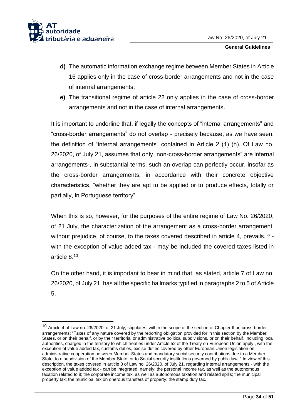

1

- **d)** The automatic information exchange regime between Member States in Article 16 applies only in the case of cross-border arrangements and not in the case of internal arrangements;
- **e)** The transitional regime of article 22 only applies in the case of cross-border arrangements and not in the case of internal arrangements.

It is important to underline that, if legally the concepts of "internal arrangements" and "cross-border arrangements" do not overlap - precisely because, as we have seen, the definition of "internal arrangements" contained in Article 2 (1) (h). Of Law no. 26/2020, of July 21, assumes that only "non-cross-border arrangements" are internal arrangements-, in substantial terms, such an overlap can perfectly occur, insofar as the cross-border arrangements, in accordance with their concrete objective characteristics, "whether they are apt to be applied or to produce effects, totally or partially, in Portuguese territory".

When this is so, however, for the purposes of the entire regime of Law No. 26/2020, of 21 July, the characterization of the arrangement as a cross-border arrangement, without prejudice, of course, to the taxes covered described in article 4, prevails. <sup>o</sup> with the exception of value added tax - may be included the covered taxes listed in article 8. 10

On the other hand, it is important to bear in mind that, as stated, article 7 of Law no. 26/2020, of July 21, has all the specific hallmarks typified in paragraphs 2 to 5 of Article 5.

<sup>&</sup>lt;sup>10</sup> Article 4 of Law no. 26/2020, of 21 July, stipulates, within the scope of the section of Chapter II on cross-border arrangements: "Taxes of any nature covered by the reporting obligation provided for in this section by the Member States, or on their behalf, or by their territorial or administrative political subdivisions, or on their behalf, including local authorities, charged in the territory to which treaties under Article 52 of the Treaty on European Union apply , with the exception of value added tax, customs duties, excise duties covered by other European Union legislation on administrative cooperation between Member States and mandatory social security contributions due to a Member State, to a subdivision of the Member State, or to Social security institutions governed by public law. " In view of this description, the taxes covered in article 8 of Law no. 26/2020, of July 21, regarding internal arrangements - with the exception of value added tax - can be integrated, namely: the personal income tax, as well as the autonomous taxation related to it; the corporate income tax, as well as autonomous taxation and related spills; the municipal property tax; the municipal tax on onerous transfers of property; the stamp duty tax.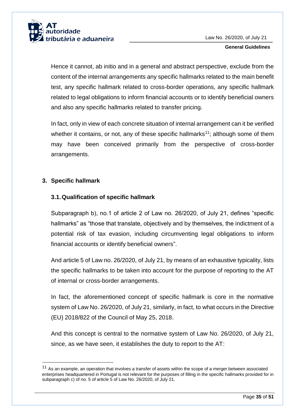

Hence it cannot, ab initio and in a general and abstract perspective, exclude from the content of the internal arrangements any specific hallmarks related to the main benefit test, any specific hallmark related to cross-border operations, any specific hallmark related to legal obligations to inform financial accounts or to identify beneficial owners and also any specific hallmarks related to transfer pricing.

In fact, only in view of each concrete situation of internal arrangement can it be verified whether it contains, or not, any of these specific hallmarks<sup>11</sup>; although some of them may have been conceived primarily from the perspective of cross-border arrangements.

## <span id="page-35-0"></span>**3. Specific hallmark**

-

## <span id="page-35-1"></span>**3.1.Qualification of specific hallmark**

Subparagraph b), no.1 of article 2 of Law no. 26/2020, of July 21, defines "specific hallmarks" as "those that translate, objectively and by themselves, the indictment of a potential risk of tax evasion, including circumventing legal obligations to inform financial accounts or identify beneficial owners".

And article 5 of Law no. 26/2020, of July 21, by means of an exhaustive typicality, lists the specific hallmarks to be taken into account for the purpose of reporting to the AT of internal or cross-border arrangements.

In fact, the aforementioned concept of specific hallmark is core in the normative system of Law No. 26/2020, of July 21, similarly, in fact, to what occurs in the Directive (EU) 2018/822 of the Council of May 25, 2018.

And this concept is central to the normative system of Law No. 26/2020, of July 21, since, as we have seen, it establishes the duty to report to the AT:

<sup>&</sup>lt;sup>11</sup> As an example, an operation that involves a transfer of assets within the scope of a merger between associated enterprises headquartered in Portugal is not relevant for the purposes of filling in the specific hallmarks provided for in subparagraph c) of no. 5 of article 5 of Law No. 26/2020, of July 21.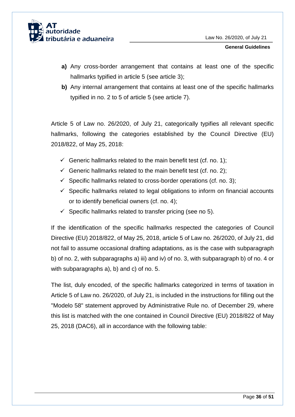

- **a)** Any cross-border arrangement that contains at least one of the specific hallmarks typified in article 5 (see article 3);
- **b)** Any internal arrangement that contains at least one of the specific hallmarks typified in no. 2 to 5 of article 5 (see article 7).

Article 5 of Law no. 26/2020, of July 21, categorically typifies all relevant specific hallmarks, following the categories established by the Council Directive (EU) 2018/822, of May 25, 2018:

- Generic hallmarks related to the main benefit test (cf. no. 1);
- Generic hallmarks related to the main benefit test (cf. no. 2);
- $\checkmark$  Specific hallmarks related to cross-border operations (cf. no. 3);
- $\checkmark$  Specific hallmarks related to legal obligations to inform on financial accounts or to identify beneficial owners (cf. no. 4);
- $\checkmark$  Specific hallmarks related to transfer pricing (see no 5).

If the identification of the specific hallmarks respected the categories of Council Directive (EU) 2018/822, of May 25, 2018, article 5 of Law no. 26/2020, of July 21, did not fail to assume occasional drafting adaptations, as is the case with subparagraph b) of no. 2, with subparagraphs a) iii) and iv) of no. 3, with subparagraph b) of no. 4 or with subparagraphs a), b) and c) of no. 5.

The list, duly encoded, of the specific hallmarks categorized in terms of taxation in Article 5 of Law no. 26/2020, of July 21, is included in the instructions for filling out the "Modelo 58" statement approved by Administrative Rule no. of December 29, where this list is matched with the one contained in Council Directive (EU) 2018/822 of May 25, 2018 (DAC6), all in accordance with the following table: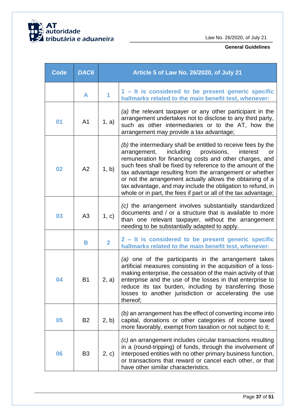

| <b>Code</b> | DAC6           | Article 5 of Law No. 26/2020, of July 21 |                                                                                                                                                                                                                                                                                                                                                                                                                                                                                                                |
|-------------|----------------|------------------------------------------|----------------------------------------------------------------------------------------------------------------------------------------------------------------------------------------------------------------------------------------------------------------------------------------------------------------------------------------------------------------------------------------------------------------------------------------------------------------------------------------------------------------|
|             | A              | 1                                        | 1 - It is considered to be present generic specific<br>hallmarks related to the main benefit test, whenever:                                                                                                                                                                                                                                                                                                                                                                                                   |
| 01          | A <sub>1</sub> | 1, a)                                    | (a) the relevant taxpayer or any other participant in the<br>arrangement undertakes not to disclose to any third party,<br>such as other intermediaries or to the AT, how the<br>arrangement may provide a tax advantage;                                                                                                                                                                                                                                                                                      |
| 02          | A2             | 1, b)                                    | (b) the intermediary shall be entitled to receive fees by the<br>including<br>provisions,<br>arrangement,<br>interest<br>or<br>remuneration for financing costs and other charges, and<br>such fees shall be fixed by reference to the amount of the<br>tax advantage resulting from the arrangement or whether<br>or not the arrangement actually allows the obtaining of a<br>tax advantage, and may include the obligation to refund, in<br>whole or in part, the fees if part or all of the tax advantage; |
| 03          | A3             | 1, c)                                    | (c) the arrangement involves substantially standardized<br>documents and / or a structure that is available to more<br>than one relevant taxpayer, without the arrangement<br>needing to be substantially adapted to apply.                                                                                                                                                                                                                                                                                    |
|             | B              | $\overline{2}$                           | 2 - It is considered to be present generic specific<br>hallmarks related to the main benefit test, whenever:                                                                                                                                                                                                                                                                                                                                                                                                   |
| 04          | B <sub>1</sub> | 2, a)                                    | (a) one of the participants in the arrangement takes<br>artificial measures consisting in the acquisition of a loss-<br>making enterprise, the cessation of the main activity of that<br>enterprise and the use of the losses in that enterprise to<br>reduce its tax burden, including by transferring those<br>losses to another jurisdiction or accelerating the use<br>thereof;                                                                                                                            |
| 05          | <b>B2</b>      | 2, b)                                    | (b) an arrangement has the effect of converting income into<br>capital, donations or other categories of income taxed<br>more favorably, exempt from taxation or not subject to it;                                                                                                                                                                                                                                                                                                                            |
| 06          | B <sub>3</sub> | 2, c)                                    | (c) an arrangement includes circular transactions resulting<br>in a (round-tripping) of funds, through the involvement of<br>interposed entities with no other primary business function,<br>or transactions that reward or cancel each other, or that<br>have other similar characteristics.                                                                                                                                                                                                                  |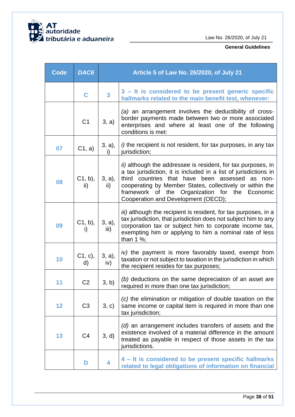

| <b>Code</b> | DAC6             | Article 5 of Law No. 26/2020, of July 21 |                                                                                                                                                                                                                                                                                                                                             |
|-------------|------------------|------------------------------------------|---------------------------------------------------------------------------------------------------------------------------------------------------------------------------------------------------------------------------------------------------------------------------------------------------------------------------------------------|
|             | C                | $\mathbf{3}$                             | 3 – It is considered to be present generic specific<br>hallmarks related to the main benefit test, whenever:                                                                                                                                                                                                                                |
|             | C <sub>1</sub>   | 3, a)                                    | (a) an arrangement involves the deductibility of cross-<br>border payments made between two or more associated<br>enterprises and where at least one of the following<br>conditions is met:                                                                                                                                                 |
| 07          | C1, a)           | 3, a),<br>i)                             | i) the recipient is not resident, for tax purposes, in any tax<br>jurisdiction;                                                                                                                                                                                                                                                             |
| 80          | $C1, b$ ,<br>ii) | 3, a),<br>ii)                            | ii) although the addressee is resident, for tax purposes, in<br>a tax jurisdiction, it is included in a list of jurisdictions in<br>third countries that have been assessed as<br>non-<br>cooperating by Member States, collectively or within the<br>framework of the Organization for the Economic<br>Cooperation and Development (OECD); |
| 09          | $C1, b$ ),<br>i) | 3, a),<br>$\overline{iii}$ )             | <i>iii</i> ) although the recipient is resident, for tax purposes, in a<br>tax jurisdiction, that jurisdiction does not subject him to any<br>corporation tax or subject him to corporate income tax,<br>exempting him or applying to him a nominal rate of less<br>than $1\%$ ;                                                            |
| 10          | C1, c),<br>d)    | 3, a),<br>iv)                            | iv) the payment is more favorably taxed, exempt from<br>taxation or not subject to taxation in the jurisdiction in which<br>the recipient resides for tax purposes;                                                                                                                                                                         |
| 11          | C <sub>2</sub>   | 3, b)                                    | (b) deductions on the same depreciation of an asset are<br>required in more than one tax jurisdiction;                                                                                                                                                                                                                                      |
| 12          | C <sub>3</sub>   | 3, c)                                    | (c) the elimination or mitigation of double taxation on the<br>same income or capital item is required in more than one<br>tax jurisdiction;                                                                                                                                                                                                |
| 13          | C <sub>4</sub>   | 3, d)                                    | (d) an arrangement includes transfers of assets and the<br>existence involved of a material difference in the amount<br>treated as payable in respect of those assets in the tax<br>jurisdictions.                                                                                                                                          |
|             | D                | 4                                        | 4 – It is considered to be present specific hallmarks<br>related to legal obligations of information on financial                                                                                                                                                                                                                           |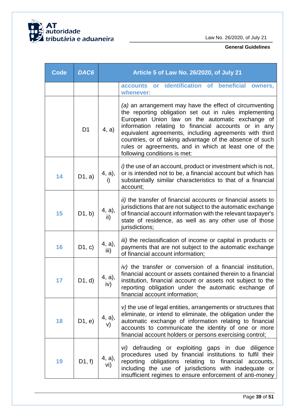

| <b>Code</b> | DAC6           | Article 5 of Law No. 26/2020, of July 21   |                                                                                                                                                                                                                                                                                                                                                                                                                                             |
|-------------|----------------|--------------------------------------------|---------------------------------------------------------------------------------------------------------------------------------------------------------------------------------------------------------------------------------------------------------------------------------------------------------------------------------------------------------------------------------------------------------------------------------------------|
|             |                |                                            | accounts or identification of beneficial owners,<br>whenever:                                                                                                                                                                                                                                                                                                                                                                               |
|             | D <sub>1</sub> | 4, a)                                      | (a) an arrangement may have the effect of circumventing<br>the reporting obligation set out in rules implementing<br>European Union law on the automatic exchange of<br>information relating to financial accounts or in any<br>equivalent agreements, including agreements with third<br>countries, or of taking advantage of the absence of such<br>rules or agreements, and in which at least one of the<br>following conditions is met: |
| 14          | D1, a)         | 4, a),<br>i)                               | <i>i</i> ) the use of an account, product or investment which is not,<br>or is intended not to be, a financial account but which has<br>substantially similar characteristics to that of a financial<br>account;                                                                                                                                                                                                                            |
| 15          | D1, b)         | 4, a),<br>ii)                              | ii) the transfer of financial accounts or financial assets to<br>jurisdictions that are not subject to the automatic exchange<br>of financial account information with the relevant taxpayer's<br>state of residence, as well as any other use of those<br>jurisdictions;                                                                                                                                                                   |
| 16          | D1, c)         | 4, a),<br>iii)                             | iii) the reclassification of income or capital in products or<br>payments that are not subject to the automatic exchange<br>of financial account information;                                                                                                                                                                                                                                                                               |
| 17          | D1, d)         | 4, a),<br>iv)                              | iv) the transfer or conversion of a financial institution,<br>financial account or assets contained therein to a financial<br>institution, financial account or assets not subject to the<br>reporting obligation under the automatic exchange of<br>financial account information;                                                                                                                                                         |
| 18          | D1, e)         | $\begin{matrix} 4, a), \\ 0, \end{matrix}$ | v) the use of legal entities, arrangements or structures that<br>eliminate, or intend to eliminate, the obligation under the<br>automatic exchange of information relating to financial<br>accounts to communicate the identity of one or more<br>financial account holders or persons exercising control;                                                                                                                                  |
| 19          | D1, f          | 4, a),<br>vi)                              | vi) defrauding or exploiting gaps in due diligence<br>procedures used by financial institutions to fulfil their<br>reporting obligations relating to financial accounts,<br>including the use of jurisdictions with inadequate or<br>insufficient regimes to ensure enforcement of anti-money                                                                                                                                               |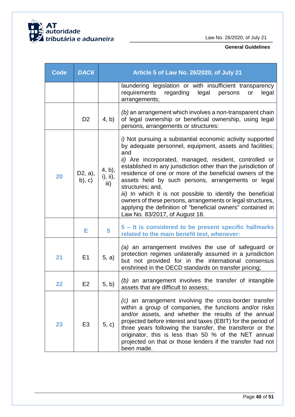

| <b>Code</b> | DAC6                    | Article 5 of Law No. 26/2020, of July 21 |                                                                                                                                                                                                                                                                                                                                                                                                                                                                                                                                                                                                                              |  |
|-------------|-------------------------|------------------------------------------|------------------------------------------------------------------------------------------------------------------------------------------------------------------------------------------------------------------------------------------------------------------------------------------------------------------------------------------------------------------------------------------------------------------------------------------------------------------------------------------------------------------------------------------------------------------------------------------------------------------------------|--|
|             |                         |                                          | laundering legislation or with insufficient transparency<br>requirements<br>regarding<br>legal<br>persons<br>legal<br>or<br>arrangements;                                                                                                                                                                                                                                                                                                                                                                                                                                                                                    |  |
|             | D <sub>2</sub>          | 4, b)                                    | (b) an arrangement which involves a non-transparent chain<br>of legal ownership or beneficial ownership, using legal<br>persons, arrangements or structures:                                                                                                                                                                                                                                                                                                                                                                                                                                                                 |  |
| 20          | D2, a),<br>$(b)$ , $c)$ | 4, b),<br>i), ii),<br>iii)               | i) Not pursuing a substantial economic activity supported<br>by adequate personnel, equipment, assets and facilities;<br>and<br>ii) Are incorporated, managed, resident, controlled or<br>established in any jurisdiction other than the jurisdiction of<br>residence of one or more of the beneficial owners of the<br>assets held by such persons, arrangements or legal<br>structures; and,<br>iii) In which it is not possible to identify the beneficial<br>owners of these persons, arrangements or legal structures,<br>applying the definition of "beneficial owners" contained in<br>Law No. 83/2017, of August 18. |  |
|             | Е                       | 5                                        | 5 – It is considered to be present specific hallmarks<br>related to the main benefit test, whenever:                                                                                                                                                                                                                                                                                                                                                                                                                                                                                                                         |  |
| 21          | E1                      | 5, a)                                    | (a) an arrangement involves the use of safeguard or<br>protection regimes unilaterally assumed in a jurisdiction<br>but not provided for in the international consensus<br>enshrined in the OECD standards on transfer pricing;                                                                                                                                                                                                                                                                                                                                                                                              |  |
| 22          | E2                      | 5, b)                                    | (b) an arrangement involves the transfer of intangible<br>assets that are difficult to assess;                                                                                                                                                                                                                                                                                                                                                                                                                                                                                                                               |  |
| 23          | E <sub>3</sub>          | 5, c)                                    | (c) an arrangement involving the cross-border transfer<br>within a group of companies, the functions and/or risks<br>and/or assets, and whether the results of the annual<br>projected before interest and taxes (EBIT) for the period of<br>three years following the transfer, the transferor or the<br>originator, this is less than 50 % of the NET annual<br>projected on that or those lenders if the transfer had not<br>been made.                                                                                                                                                                                   |  |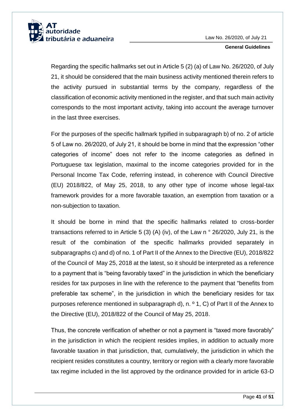

Regarding the specific hallmarks set out in Article 5 (2) (a) of Law No. 26/2020, of July 21, it should be considered that the main business activity mentioned therein refers to the activity pursued in substantial terms by the company, regardless of the classification of economic activity mentioned in the register, and that such main activity corresponds to the most important activity, taking into account the average turnover in the last three exercises.

For the purposes of the specific hallmark typified in subparagraph b) of no. 2 of article 5 of Law no. 26/2020, of July 21, it should be borne in mind that the expression "other categories of income" does not refer to the income categories as defined in Portuguese tax legislation, maximal to the income categories provided for in the Personal Income Tax Code, referring instead, in coherence with Council Directive (EU) 2018/822, of May 25, 2018, to any other type of income whose legal-tax framework provides for a more favorable taxation, an exemption from taxation or a non-subjection to taxation.

It should be borne in mind that the specific hallmarks related to cross-border transactions referred to in Article 5 (3) (A) (iv), of the Law n ° 26/2020, July 21, is the result of the combination of the specific hallmarks provided separately in subparagraphs c) and d) of no. 1 of Part II of the Annex to the Directive (EU), 2018/822 of the Council of May 25, 2018 at the latest, so it should be interpreted as a reference to a payment that is "being favorably taxed" in the jurisdiction in which the beneficiary resides for tax purposes in line with the reference to the payment that "benefits from preferable tax scheme", in the jurisdiction in which the beneficiary resides for tax purposes reference mentioned in subparagraph d), n. º 1, C) of Part II of the Annex to the Directive (EU), 2018/822 of the Council of May 25, 2018.

Thus, the concrete verification of whether or not a payment is "taxed more favorably" in the jurisdiction in which the recipient resides implies, in addition to actually more favorable taxation in that jurisdiction, that, cumulatively, the jurisdiction in which the recipient resides constitutes a country, territory or region with a clearly more favorable tax regime included in the list approved by the ordinance provided for in article 63-D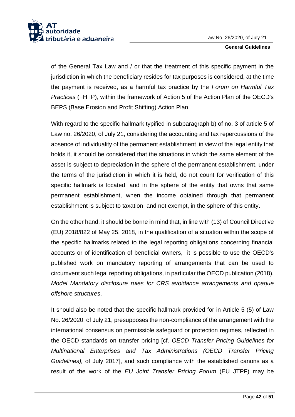

of the General Tax Law and / or that the treatment of this specific payment in the jurisdiction in which the beneficiary resides for tax purposes is considered, at the time the payment is received, as a harmful tax practice by the *Forum on Harmful Tax Practices* (FHTP), within the framework of Action 5 of the Action Plan of the OECD's BEPS (Base Erosion and Profit Shifting) Action Plan.

With regard to the specific hallmark typified in subparagraph b) of no. 3 of article 5 of Law no. 26/2020, of July 21, considering the accounting and tax repercussions of the absence of individuality of the permanent establishment in view of the legal entity that holds it, it should be considered that the situations in which the same element of the asset is subject to depreciation in the sphere of the permanent establishment, under the terms of the jurisdiction in which it is held, do not count for verification of this specific hallmark is located, and in the sphere of the entity that owns that same permanent establishment, when the income obtained through that permanent establishment is subject to taxation, and not exempt, in the sphere of this entity.

On the other hand, it should be borne in mind that, in line with (13) of Council Directive (EU) 2018/822 of May 25, 2018, in the qualification of a situation within the scope of the specific hallmarks related to the legal reporting obligations concerning financial accounts or of identification of beneficial owners, it is possible to use the OECD's published work on mandatory reporting of arrangements that can be used to circumvent such legal reporting obligations, in particular the OECD publication (2018), *Model Mandatory disclosure rules for CRS avoidance arrangements and opaque offshore structures*.

It should also be noted that the specific hallmark provided for in Article 5 (5) of Law No. 26/2020, of July 21, presupposes the non-compliance of the arrangement with the international consensus on permissible safeguard or protection regimes, reflected in the OECD standards on transfer pricing [cf. *OECD Transfer Pricing Guidelines for Multinational Enterprises and Tax Administrations (OECD Transfer Pricing Guidelines),* of July 2017], and such compliance with the established canons as a result of the work of the *EU Joint Transfer Pricing Forum* (EU JTPF) may be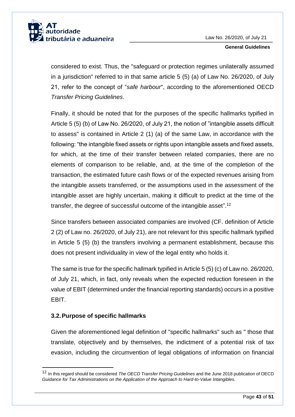

considered to exist. Thus, the "safeguard or protection regimes unilaterally assumed in a jurisdiction" referred to in that same article 5 (5) (a) of Law No. 26/2020, of July 21, refer to the concept of "*safe harbour*", according to the aforementioned OECD *Transfer Pricing Guidelines*.

Finally, it should be noted that for the purposes of the specific hallmarks typified in Article 5 (5) (b) of Law No. 26/2020, of July 21, the notion of "intangible assets difficult to assess" is contained in Article 2 (1) (a) of the same Law, in accordance with the following: "the intangible fixed assets or rights upon intangible assets and fixed assets, for which, at the time of their transfer between related companies, there are no elements of comparison to be reliable, and, at the time of the completion of the transaction, the estimated future cash flows or of the expected revenues arising from the intangible assets transferred, or the assumptions used in the assessment of the intangible asset are highly uncertain, making it difficult to predict at the time of the transfer, the degree of successful outcome of the intangible asset".<sup>12</sup>

Since transfers between associated companies are involved (CF. definition of Article 2 (2) of Law no. 26/2020, of July 21), are not relevant for this specific hallmark typified in Article 5 (5) (b) the transfers involving a permanent establishment, because this does not present individuality in view of the legal entity who holds it.

The same is true for the specific hallmark typified in Article 5 (5) (c) of Law no. 26/2020, of July 21, which, in fact, only reveals when the expected reduction foreseen in the value of EBIT (determined under the financial reporting standards) occurs in a positive EBIT.

## <span id="page-43-0"></span>**3.2.Purpose of specific hallmarks**

1

Given the aforementioned legal definition of "specific hallmarks" such as " those that translate, objectively and by themselves, the indictment of a potential risk of tax evasion, including the circumvention of legal obligations of information on financial

<sup>12</sup> In this regard should be considered *The OECD Transfer Pricing Guidelines* and the June 2018 publication of OECD *Guidance for Tax Administrations on the Application of the Approach to Hard-to-Value Intangibles.*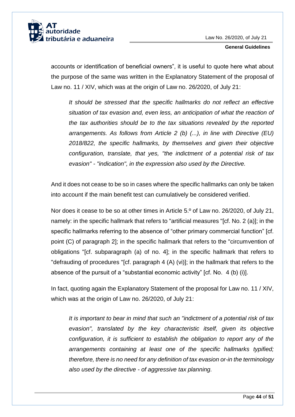

accounts or identification of beneficial owners", it is useful to quote here what about the purpose of the same was written in the Explanatory Statement of the proposal of Law no. 11 / XIV, which was at the origin of Law no. 26/2020, of July 21:

*It should be stressed that the specific hallmarks do not reflect an effective situation of tax evasion and, even less, an anticipation of what the reaction of the tax authorities should be to the tax situations revealed by the reported arrangements. As follows from Article 2 (b) (...), in line with Directive (EU) 2018/822, the specific hallmarks, by themselves and given their objective configuration, translate, that yes, "the indictment of a potential risk of tax evasion" - "indication", in the expression also used by the Directive.*

And it does not cease to be so in cases where the specific hallmarks can only be taken into account if the main benefit test can cumulatively be considered verified.

Nor does it cease to be so at other times in Article 5.º of Law no. 26/2020, of July 21, namely: in the specific hallmark that refers to "artificial measures "[cf. No. 2 (a)]; in the specific hallmarks referring to the absence of "other primary commercial function" [cf. point (C) of paragraph 2]; in the specific hallmark that refers to the "circumvention of obligations "[cf. subparagraph (a) of no. 4]; in the specific hallmark that refers to "defrauding of procedures "[cf. paragraph 4 (A) (vi)]; in the hallmark that refers to the absence of the pursuit of a "substantial economic activity" [cf. No. 4 (b) (i)].

In fact, quoting again the Explanatory Statement of the proposal for Law no. 11 / XIV, which was at the origin of Law no. 26/2020, of July 21:

*It is important to bear in mind that such an "indictment of a potential risk of tax evasion", translated by the key characteristic itself, given its objective configuration, it is sufficient to establish the obligation to report any of the arrangements containing at least one of the specific hallmarks typified; therefore, there is no need for any definition of tax evasion or-in the terminology also used by the directive - of aggressive tax planning.*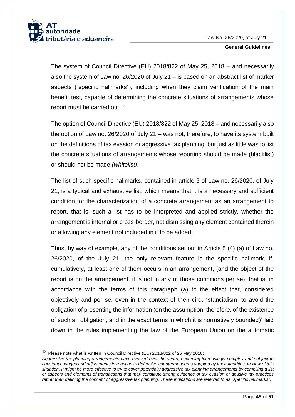

The system of Council Directive (EU) 2018/822 of May 25, 2018 – and necessarily also the system of Law no. 26/2020 of July 21 – is based on an abstract list of marker aspects ("specific hallmarks"), including when they claim verification of the main benefit test, capable of determining the concrete situations of arrangements whose report must be carried out.<sup>13</sup>

The option of Council Directive (EU) 2018/822 of May 25, 2018 – and necessarily also the option of Law no. 26/2020 of July 21 – was not, therefore, to have its system built on the definitions of tax evasion or aggressive tax planning; but just as little was to list the concrete situations of arrangements whose reporting should be made (blacklist) or should not be made *(whitelist)*.

The list of such specific hallmarks, contained in article 5 of Law no. 26/2020, of July 21, is a typical and exhaustive list, which means that it is a necessary and sufficient condition for the characterization of a concrete arrangement as an arrangement to report, that is, such a list has to be interpreted and applied strictly, whether the arrangement is internal or cross-border, not dismissing any element contained therein or allowing any element not included in it to be added.

Thus, by way of example, any of the conditions set out in Article 5 (4) (a) of Law no. 26/2020, of the July 21, the only relevant feature is the specific hallmark, if, cumulatively, at least one of them occurs in an arrangement, (and the object of the report is on the arrangement, it is not in any of those conditions per se), that is, in accordance with the terms of this paragraph (a) to the effect that, considered objectively and per se, even in the context of their circunstancialism, to avoid the obligation of presenting the information (on the assumption, therefore, of the existence of such an obligation, and in the exact terms in which it is normatively bounded)" laid down in the rules implementing the law of the European Union on the automatic

1

<sup>13</sup> Please note what is written in Council Directive (EU) 2018/822 of 25 May 2018:

*Aggressive tax planning arrangements have evolved over the years, becoming increasingly complex and subject to constant changes and adjustments in reaction to defensive countermeasures adopted by tax authorities. In view of this situation, it might be more effective to try to cover potentially aggressive tax planning arrangements by compiling a list of aspects and elements of transactions that may constitute strong evidence of tax evasion or abusive tax practices rather than defining the concept of aggressive tax planning. These indications are referred to as "specific hallmarks".*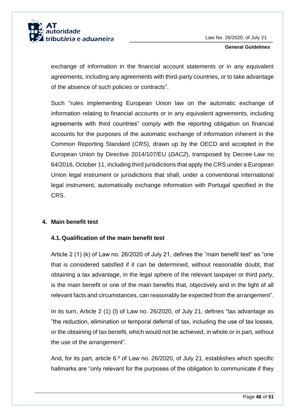

exchange of information in the financial account statements or in any equivalent agreements, including any agreements with third-party countries, or to take advantage of the absence of such policies or contracts".

Such "rules implementing European Union law on the automatic exchange of information relating to financial accounts or in any equivalent agreements, including agreements with third countries" comply with the reporting obligation on financial accounts for the purposes of the automatic exchange of information inherent in the Common Reporting Standard (*CRS*), drawn up by the OECD and accepted in the European Union by Directive 2014/107/EU (*DAC2*), transposed by Decree-Law no 64/2016, October 11, including third jurisdictions that apply the CRS under a European Union legal instrument or jurisdictions that shall, under a conventional international legal instrument, automatically exchange information with Portugal specified in the CRS.

## <span id="page-46-0"></span>**4. Main benefit test**

## <span id="page-46-1"></span>**4.1.Qualification of the main benefit test**

Article 2 (1) (k) of Law no. 26/2020 of July 21, defines the "main benefit test" as "one that is considered satisfied if it can be determined, without reasonable doubt, that obtaining a tax advantage, in the legal sphere of the relevant taxpayer or third party, is the main benefit or one of the main benefits that, objectively and in the light of all relevant facts and circumstances, can reasonably be expected from the arrangement".

In its turn, Article 2 (1) (l) of Law no. 26/2020, of July 21, defines "tax advantage as "the reduction, elimination or temporal deferral of tax, including the use of tax losses, or the obtaining of tax benefit, which would not be achieved, in whole or in part, without the use of the arrangement".

And, for its part, article 6.º of Law no. 26/2020, of July 21, establishes which specific hallmarks are "only relevant for the purposes of the obligation to communicate if they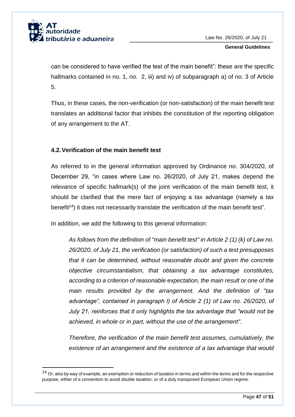

1

**General Guidelines**

can be considered to have verified the test of the main benefit": these are the specific hallmarks contained in no. 1, no. 2, iii) and iv) of subparagraph a) of no. 3 of Article 5.

Thus, in these cases, the non-verification (or non-satisfaction) of the main benefit test translates an additional factor that inhibits the constitution of the reporting obligation of any arrangement to the AT.

## <span id="page-47-0"></span>**4.2.Verification of the main benefit test**

As referred to in the general information approved by Ordinance no. 304/2020, of December 29, "in cases where Law no. 26/2020, of July 21, makes depend the relevance of specific hallmark(s) of the joint verification of the main benefit test, it should be clarified that the mere fact of enjoying a tax advantage (namely a tax benefit<sup>14</sup>) it does not necessarily translate the verification of the main benefit test".

In addition, we add the following to this general information:

*As follows from the definition of "main benefit test" in Article 2 (1) (k) of Law no. 26/2020, of July 21, the verification (or satisfaction) of such a test presupposes that it can be determined, without reasonable doubt and given the concrete objective circumstantialism, that obtaining a tax advantage constitutes, according to a criterion of reasonable expectation, the main result or one of the main results provided by the arrangement. And the definition of "tax advantage", contained in paragraph l) of Article 2 (1) of Law no. 26/2020, of July 21, reinforces that it only highlights the tax advantage that "would not be achieved, in whole or in part, without the use of the arrangement".*

*Therefore, the verification of the main benefit test assumes, cumulatively, the existence of an arrangement and the existence of a tax advantage that would* 

<sup>&</sup>lt;sup>14</sup> Or, also by way of example, an exemption or reduction of taxation in terms and within the terms and for the respective purpose, either of a convention to avoid double taxation, or of a duly transposed European Union regime.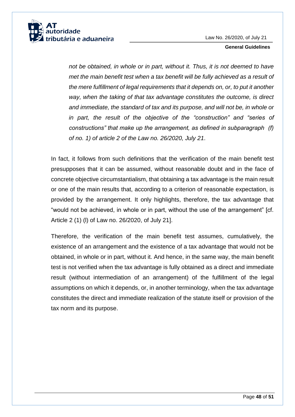

*not be obtained, in whole or in part, without it. Thus, it is not deemed to have met the main benefit test when a tax benefit will be fully achieved as a result of the mere fulfillment of legal requirements that it depends on, or, to put it another way, when the taking of that tax advantage constitutes the outcome, is direct and immediate, the standard of tax and its purpose, and will not be, in whole or in part, the result of the objective of the "construction" and "series of constructions" that make up the arrangement, as defined in subparagraph (f) of no. 1) of article 2 of the Law no. 26/2020, July 21.*

In fact, it follows from such definitions that the verification of the main benefit test presupposes that it can be assumed, without reasonable doubt and in the face of concrete objective circumstantialism, that obtaining a tax advantage is the main result or one of the main results that, according to a criterion of reasonable expectation, is provided by the arrangement. It only highlights, therefore, the tax advantage that "would not be achieved, in whole or in part, without the use of the arrangement" [cf. Article 2 (1) (l) of Law no. 26/2020, of July 21].

Therefore, the verification of the main benefit test assumes, cumulatively, the existence of an arrangement and the existence of a tax advantage that would not be obtained, in whole or in part, without it. And hence, in the same way, the main benefit test is not verified when the tax advantage is fully obtained as a direct and immediate result (without intermediation of an arrangement) of the fulfillment of the legal assumptions on which it depends, or, in another terminology, when the tax advantage constitutes the direct and immediate realization of the statute itself or provision of the tax norm and its purpose.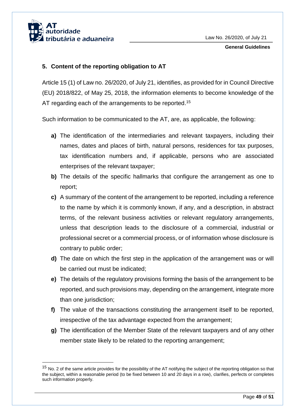

-

## <span id="page-49-0"></span>**5. Content of the reporting obligation to AT**

Article 15 (1) of Law no. 26/2020, of July 21, identifies, as provided for in Council Directive (EU) 2018/822, of May 25, 2018, the information elements to become knowledge of the AT regarding each of the arrangements to be reported.<sup>15</sup>

Such information to be communicated to the AT, are, as applicable, the following:

- **a)** The identification of the intermediaries and relevant taxpayers, including their names, dates and places of birth, natural persons, residences for tax purposes, tax identification numbers and, if applicable, persons who are associated enterprises of the relevant taxpayer;
- **b)** The details of the specific hallmarks that configure the arrangement as one to report;
- **c)** A summary of the content of the arrangement to be reported, including a reference to the name by which it is commonly known, if any, and a description, in abstract terms, of the relevant business activities or relevant regulatory arrangements, unless that description leads to the disclosure of a commercial, industrial or professional secret or a commercial process, or of information whose disclosure is contrary to public order;
- **d)** The date on which the first step in the application of the arrangement was or will be carried out must be indicated;
- **e)** The details of the regulatory provisions forming the basis of the arrangement to be reported, and such provisions may, depending on the arrangement, integrate more than one jurisdiction;
- **f)** The value of the transactions constituting the arrangement itself to be reported, irrespective of the tax advantage expected from the arrangement;
- **g)** The identification of the Member State of the relevant taxpayers and of any other member state likely to be related to the reporting arrangement;

<sup>&</sup>lt;sup>15</sup> No. 2 of the same article provides for the possibility of the AT notifying the subject of the reporting obligation so that the subject, within a reasonable period (to be fixed between 10 and 20 days in a row), clarifies, perfects or completes such information properly.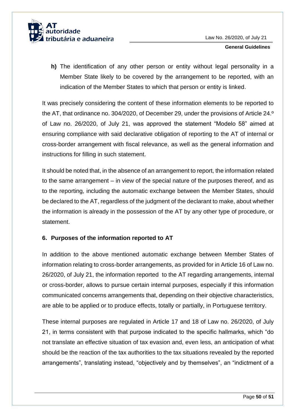

**h)** The identification of any other person or entity without legal personality in a Member State likely to be covered by the arrangement to be reported, with an indication of the Member States to which that person or entity is linked.

It was precisely considering the content of these information elements to be reported to the AT, that ordinance no. 304/2020, of December 29, under the provisions of Article 24.º of Law no. 26/2020, of July 21, was approved the statement "Modelo 58" aimed at ensuring compliance with said declarative obligation of reporting to the AT of internal or cross-border arrangement with fiscal relevance, as well as the general information and instructions for filling in such statement.

It should be noted that, in the absence of an arrangement to report, the information related to the same arrangement – in view of the special nature of the purposes thereof, and as to the reporting, including the automatic exchange between the Member States, should be declared to the AT, regardless of the judgment of the declarant to make, about whether the information is already in the possession of the AT by any other type of procedure, or statement.

## <span id="page-50-0"></span>**6. Purposes of the information reported to AT**

In addition to the above mentioned automatic exchange between Member States of information relating to cross-border arrangements, as provided for in Article 16 of Law no. 26/2020, of July 21, the information reported to the AT regarding arrangements, internal or cross-border, allows to pursue certain internal purposes, especially if this information communicated concerns arrangements that, depending on their objective characteristics, are able to be applied or to produce effects, totally or partially, in Portuguese territory.

These internal purposes are regulated in Article 17 and 18 of Law no. 26/2020, of July 21, in terms consistent with that purpose indicated to the specific hallmarks, which "do not translate an effective situation of tax evasion and, even less, an anticipation of what should be the reaction of the tax authorities to the tax situations revealed by the reported arrangements", translating instead, "objectively and by themselves", an "indictment of a